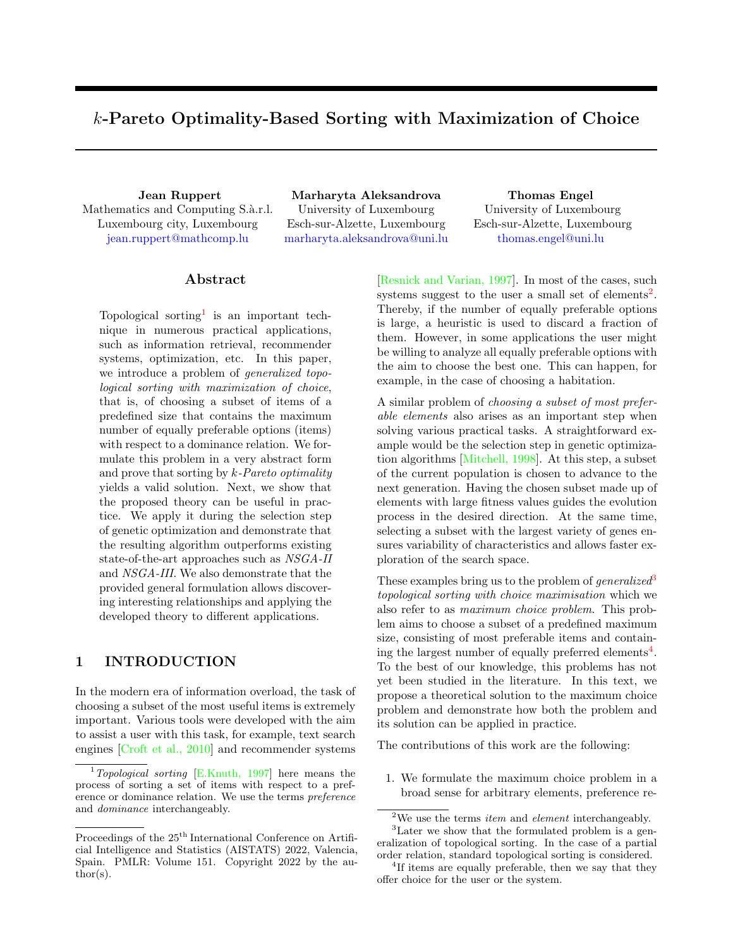# <span id="page-0-0"></span>k-Pareto Optimality-Based Sorting with Maximization of Choice

Mathematics and Computing S.à.r.l. Luxembourg city, Luxembourg <jean.ruppert@mathcomp.lu>

Jean Ruppert Marharyta Aleksandrova Thomas Engel University of Luxembourg Esch-sur-Alzette, Luxembourg <marharyta.aleksandrova@uni.lu>

University of Luxembourg Esch-sur-Alzette, Luxembourg <thomas.engel@uni.lu>

## Abstract

Topological sorting<sup>1</sup> is an important technique in numerous practical applications, such as information retrieval, recommender systems, optimization, etc. In this paper, we introduce a problem of generalized topological sorting with maximization of choice, that is, of choosing a subset of items of a predefined size that contains the maximum number of equally preferable options (items) with respect to a dominance relation. We formulate this problem in a very abstract form and prove that sorting by  $k$ -Pareto optimality yields a valid solution. Next, we show that the proposed theory can be useful in practice. We apply it during the selection step of genetic optimization and demonstrate that the resulting algorithm outperforms existing state-of-the-art approaches such as NSGA-II and NSGA-III. We also demonstrate that the provided general formulation allows discovering interesting relationships and applying the developed theory to different applications.

# <span id="page-0-1"></span>1 INTRODUCTION

In the modern era of information overload, the task of choosing a subset of the most useful items is extremely important. Various tools were developed with the aim to assist a user with this task, for example, text search engines [\[Croft et al., 2010\]](#page-9-0) and recommender systems [\[Resnick and Varian, 1997\]](#page-9-2). In most of the cases, such systems suggest to the user a small set of elements<sup>2</sup>. Thereby, if the number of equally preferable options is large, a heuristic is used to discard a fraction of them. However, in some applications the user might be willing to analyze all equally preferable options with the aim to choose the best one. This can happen, for example, in the case of choosing a habitation.

A similar problem of choosing a subset of most preferable elements also arises as an important step when solving various practical tasks. A straightforward example would be the selection step in genetic optimization algorithms [\[Mitchell, 1998\]](#page-9-3). At this step, a subset of the current population is chosen to advance to the next generation. Having the chosen subset made up of elements with large fitness values guides the evolution process in the desired direction. At the same time, selecting a subset with the largest variety of genes ensures variability of characteristics and allows faster exploration of the search space.

These examples bring us to the problem of *generalized*<sup>3</sup> topological sorting with choice maximisation which we also refer to as maximum choice problem. This problem aims to choose a subset of a predefined maximum size, consisting of most preferable items and containing the largest number of equally preferred elements<sup>4</sup>. To the best of our knowledge, this problems has not yet been studied in the literature. In this text, we propose a theoretical solution to the maximum choice problem and demonstrate how both the problem and its solution can be applied in practice.

The contributions of this work are the following:

1. We formulate the maximum choice problem in a broad sense for arbitrary elements, preference re-

<sup>&</sup>lt;sup>1</sup>Topological sorting [\[E.Knuth, 1997\]](#page-9-1) here means the process of sorting a set of items with respect to a preference or dominance relation. We use the terms preference and dominance interchangeably.

Proceedings of the  $25^{\text{th}}$  International Conference on Artificial Intelligence and Statistics (AISTATS) 2022, Valencia, Spain. PMLR: Volume 151. Copyright 2022 by the author(s).

 $^2\rm{We}$  use the terms  $item$  and  $element$  interchangeably.

<sup>3</sup>Later we show that the formulated problem is a generalization of topological sorting. In the case of a partial order relation, standard topological sorting is considered.

<sup>&</sup>lt;sup>4</sup>If items are equally preferable, then we say that they offer choice for the user or the system.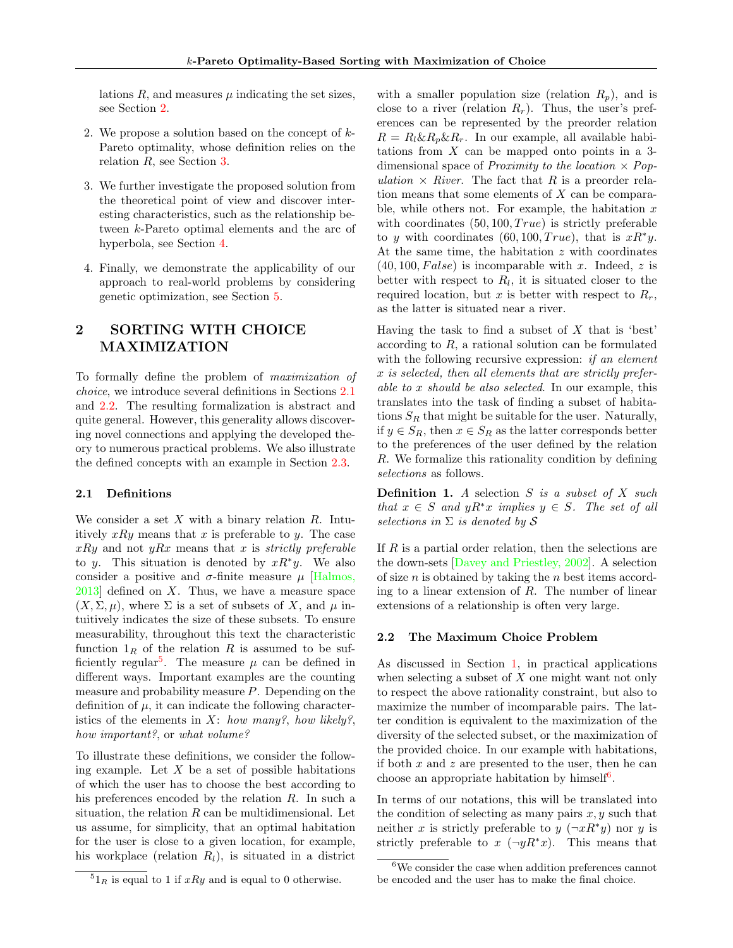lations  $R$ , and measures  $\mu$  indicating the set sizes, see Section [2.](#page-1-0)

- 2. We propose a solution based on the concept of k-Pareto optimality, whose definition relies on the relation R, see Section [3.](#page-3-0)
- 3. We further investigate the proposed solution from the theoretical point of view and discover interesting characteristics, such as the relationship between k-Pareto optimal elements and the arc of hyperbola, see Section [4.](#page-5-0)
- 4. Finally, we demonstrate the applicability of our approach to real-world problems by considering genetic optimization, see Section [5.](#page-7-0)

# <span id="page-1-0"></span>2 SORTING WITH CHOICE MAXIMIZATION

To formally define the problem of maximization of choice, we introduce several definitions in Sections [2.1](#page-1-1) and [2.2.](#page-1-2) The resulting formalization is abstract and quite general. However, this generality allows discovering novel connections and applying the developed theory to numerous practical problems. We also illustrate the defined concepts with an example in Section [2.3.](#page-2-0)

## <span id="page-1-1"></span>2.1 Definitions

We consider a set  $X$  with a binary relation  $R$ . Intuitively  $xRy$  means that x is preferable to y. The case  $xRy$  and not  $yRx$  means that x is strictly preferable to y. This situation is denoted by  $xR^*y$ . We also consider a positive and  $\sigma$ -finite measure  $\mu$  [\[Halmos,](#page-9-4)  $2013$  defined on X. Thus, we have a measure space  $(X, \Sigma, \mu)$ , where  $\Sigma$  is a set of subsets of X, and  $\mu$  intuitively indicates the size of these subsets. To ensure measurability, throughout this text the characteristic function  $1_R$  of the relation R is assumed to be suf-ficiently regular<sup>[5](#page-0-0)</sup>. The measure  $\mu$  can be defined in different ways. Important examples are the counting measure and probability measure  $P$ . Depending on the definition of  $\mu$ , it can indicate the following characteristics of the elements in X: how many?, how likely?, how important?, or what volume?

To illustrate these definitions, we consider the following example. Let  $X$  be a set of possible habitations of which the user has to choose the best according to his preferences encoded by the relation R. In such a situation, the relation  $R$  can be multidimensional. Let us assume, for simplicity, that an optimal habitation for the user is close to a given location, for example, his workplace (relation  $R_l$ ), is situated in a district

with a smaller population size (relation  $R_p$ ), and is close to a river (relation  $R_r$ ). Thus, the user's preferences can be represented by the preorder relation  $R = R_l \& R_p \& R_r$ . In our example, all available habitations from  $X$  can be mapped onto points in a 3dimensional space of *Proximity to the location*  $\times$  *Pop*ulation  $\times$  River. The fact that R is a preorder relation means that some elements of X can be comparable, while others not. For example, the habitation  $x$ with coordinates  $(50, 100, True)$  is strictly preferable to y with coordinates  $(60, 100, True)$ , that is  $xR^*y$ . At the same time, the habitation  $z$  with coordinates  $(40, 100, False)$  is incomparable with x. Indeed, z is better with respect to  $R_l$ , it is situated closer to the required location, but x is better with respect to  $R_r$ , as the latter is situated near a river.

Having the task to find a subset of  $X$  that is 'best' according to R, a rational solution can be formulated with the following recursive expression: *if an element* x is selected, then all elements that are strictly preferable to x should be also selected. In our example, this translates into the task of finding a subset of habitations  $S_R$  that might be suitable for the user. Naturally, if  $y \in S_R$ , then  $x \in S_R$  as the latter corresponds better to the preferences of the user defined by the relation R. We formalize this rationality condition by defining selections as follows.

**Definition 1.** A selection  $S$  is a subset of  $X$  such that  $x \in S$  and  $yR^*x$  implies  $y \in S$ . The set of all selections in  $\Sigma$  is denoted by  $S$ 

If  $R$  is a partial order relation, then the selections are the down-sets [\[Davey and Priestley, 2002\]](#page-9-5). A selection of size  $n$  is obtained by taking the  $n$  best items according to a linear extension of  $R$ . The number of linear extensions of a relationship is often very large.

### <span id="page-1-2"></span>2.2 The Maximum Choice Problem

As discussed in Section [1,](#page-0-1) in practical applications when selecting a subset of  $X$  one might want not only to respect the above rationality constraint, but also to maximize the number of incomparable pairs. The latter condition is equivalent to the maximization of the diversity of the selected subset, or the maximization of the provided choice. In our example with habitations, if both  $x$  and  $z$  are presented to the user, then he can choose an appropriate habitation by himself<sup>[6](#page-0-0)</sup>.

In terms of our notations, this will be translated into the condition of selecting as many pairs  $x, y$  such that neither x is strictly preferable to  $y (\neg x R^* y)$  nor y is strictly preferable to x  $(\neg yR^*x)$ . This means that

 ${}^{5}1_R$  is equal to 1 if  $xRy$  and is equal to 0 otherwise.

<sup>6</sup>We consider the case when addition preferences cannot be encoded and the user has to make the final choice.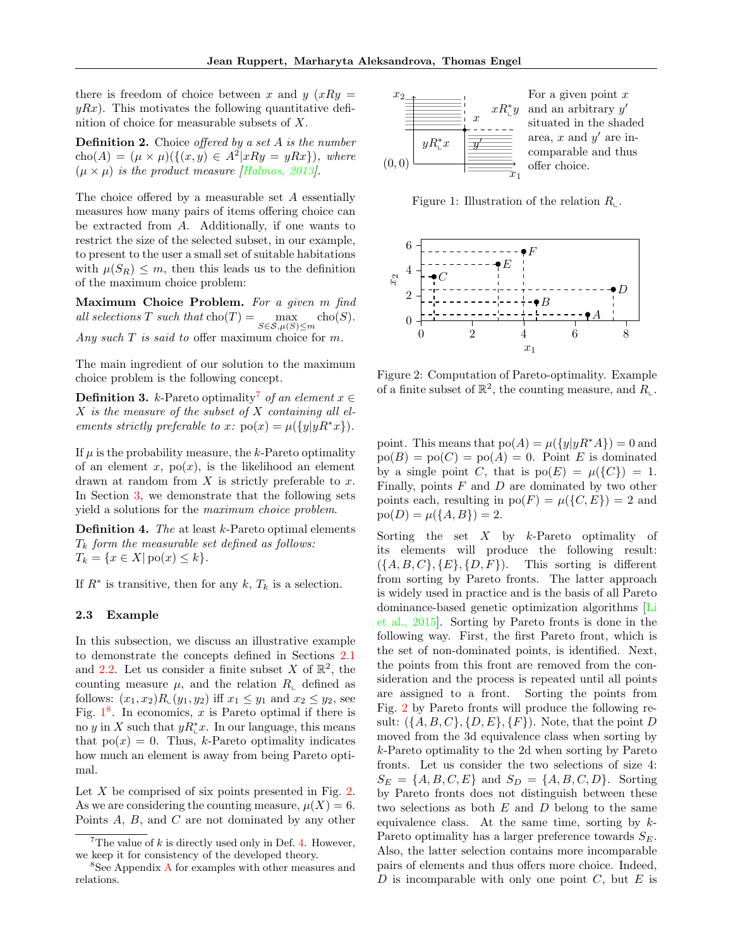there is freedom of choice between x and  $y(xRy)$  $yRx$ ). This motivates the following quantitative definition of choice for measurable subsets of X.

<span id="page-2-4"></span>**Definition 2.** Choice offered by a set  $A$  is the number  $cho(A) = (\mu \times \mu)(\{(x, y) \in A^2 | xRy = yRx\}),$  where  $(\mu \times \mu)$  is the product measure *[\[Halmos, 2013\]](#page-9-4)*.

The choice offered by a measurable set A essentially measures how many pairs of items offering choice can be extracted from A. Additionally, if one wants to restrict the size of the selected subset, in our example, to present to the user a small set of suitable habitations with  $\mu(S_R) \leq m$ , then this leads us to the definition of the maximum choice problem:

Maximum Choice Problem. For a given  $m$  find all selections T such that  $\text{cho}(T) = \max_{S \in \mathcal{S}, \mu(S) \leq m} \text{cho}(S)$ . Any such  $T$  is said to offer maximum choice for  $m$ .

The main ingredient of our solution to the maximum choice problem is the following concept.

**Definition 3.** k-Pareto optimality<sup>[7](#page-0-0)</sup> of an element  $x \in \mathbb{R}$  $X$  is the measure of the subset of  $X$  containing all elements strictly preferable to x:  $po(x) = \mu({y|yR^*x}).$ 

If  $\mu$  is the probability measure, the  $k$ -Pareto optimality of an element x,  $po(x)$ , is the likelihood an element drawn at random from  $X$  is strictly preferable to  $x$ . In Section [3,](#page-3-0) we demonstrate that the following sets yield a solutions for the maximum choice problem.

<span id="page-2-3"></span>**Definition 4.** The at least  $k$ -Pareto optimal elements  $T_k$  form the measurable set defined as follows:  $T_k = \{x \in X | \text{po}(x) \leq k\}.$ 

If  $R^*$  is transitive, then for any  $k, T_k$  is a selection.

### <span id="page-2-0"></span>2.3 Example

In this subsection, we discuss an illustrative example to demonstrate the concepts defined in Sections [2.1](#page-1-1) and [2.2.](#page-1-2) Let us consider a finite subset X of  $\mathbb{R}^2$ , the counting measure  $\mu$ , and the relation  $R_{\text{L}}$  defined as follows:  $(x_1, x_2)R_{\_}(y_1, y_2)$  iff  $x_1 \leq y_1$  and  $x_2 \leq y_2$ , see Fig.  $1^8$  $1^8$  $1^8$ . In economics, x is Pareto optimal if there is no y in X such that  $yR_i^*x$ . In our language, this means that  $po(x) = 0$ . Thus, k-Pareto optimality indicates how much an element is away from being Pareto optimal.

Let X be comprised of six points presented in Fig. [2.](#page-2-2) As we are considering the counting measure,  $\mu(X) = 6$ . Points A, B, and C are not dominated by any other

<span id="page-2-1"></span>

Figure 1: Illustration of the relation  $R_{\text{L}}$ .

<span id="page-2-2"></span>

Figure 2: Computation of Pareto-optimality. Example of a finite subset of  $\mathbb{R}^2$ , the counting measure, and  $R_{\mathcal{L}}$ .

point. This means that  $p_0(A) = \mu({y|yR^*A}) = 0$  and  $p_0(B) = p_0(C) = p_0(A) = 0$ . Point E is dominated by a single point C, that is  $po(E) = \mu({C}) = 1$ . Finally, points  $F$  and  $D$  are dominated by two other points each, resulting in  $po(F) = \mu({C, E}) = 2$  and  $po(D) = \mu({A, B}) = 2.$ 

Sorting the set  $X$  by  $k$ -Pareto optimality of its elements will produce the following result:  $(\{A, B, C\}, \{E\}, \{D, F\}).$  This sorting is different from sorting by Pareto fronts. The latter approach is widely used in practice and is the basis of all Pareto dominance-based genetic optimization algorithms [\[Li](#page-9-6) [et al., 2015\]](#page-9-6). Sorting by Pareto fronts is done in the following way. First, the first Pareto front, which is the set of non-dominated points, is identified. Next, the points from this front are removed from the consideration and the process is repeated until all points are assigned to a front. Sorting the points from Fig. [2](#page-2-2) by Pareto fronts will produce the following result:  $({A, B, C}, {D, E}, {F})$ . Note, that the point D moved from the 3d equivalence class when sorting by k-Pareto optimality to the 2d when sorting by Pareto fronts. Let us consider the two selections of size 4:  $S_E = \{A, B, C, E\}$  and  $S_D = \{A, B, C, D\}$ . Sorting by Pareto fronts does not distinguish between these two selections as both  $E$  and  $D$  belong to the same equivalence class. At the same time, sorting by  $k$ -Pareto optimality has a larger preference towards  $S_E$ . Also, the latter selection contains more incomparable pairs of elements and thus offers more choice. Indeed,  $D$  is incomparable with only one point  $C$ , but  $E$  is

<sup>&</sup>lt;sup>7</sup>The value of  $k$  is directly used only in Def. [4.](#page-2-3) However, we keep it for consistency of the developed theory.

<sup>&</sup>lt;sup>8</sup>See [A](#page-11-0)ppendix A for examples with other measures and relations.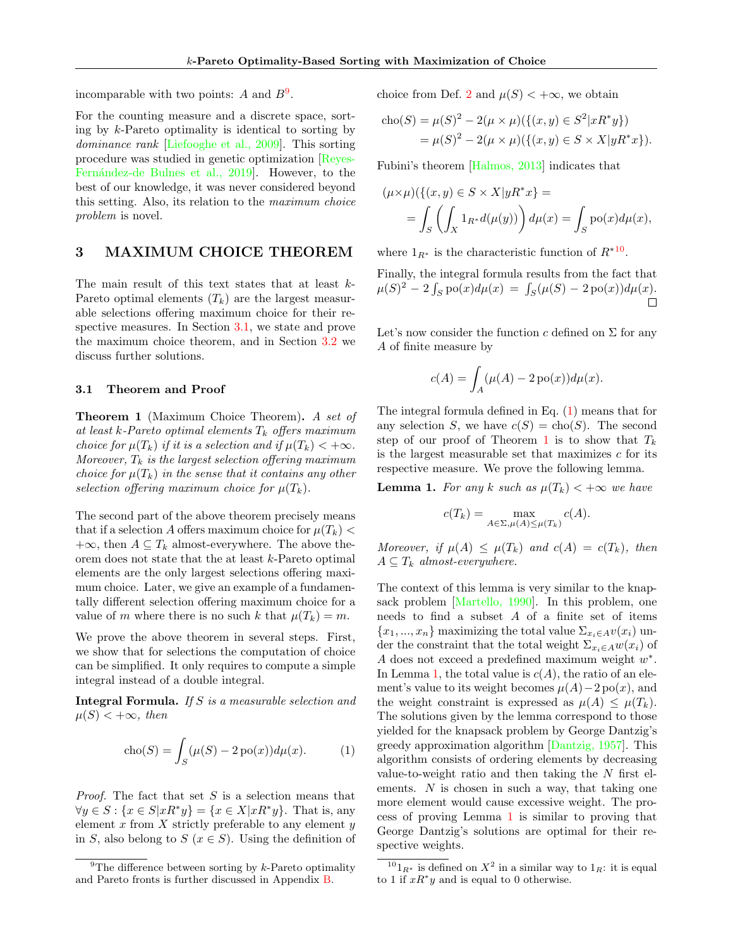incomparable with two points: A and  $B^9$  $B^9$ .

For the counting measure and a discrete space, sorting by k-Pareto optimality is identical to sorting by dominance rank [\[Liefooghe et al., 2009\]](#page-9-7). This sorting procedure was studied in genetic optimization [\[Reyes-](#page-10-0)Fernández-de Bulnes et al., 2019. However, to the best of our knowledge, it was never considered beyond this setting. Also, its relation to the maximum choice problem is novel.

## <span id="page-3-0"></span>3 MAXIMUM CHOICE THEOREM

The main result of this text states that at least k-Pareto optimal elements  $(T_k)$  are the largest measurable selections offering maximum choice for their respective measures. In Section [3.1,](#page-3-1) we state and prove the maximum choice theorem, and in Section [3.2](#page-4-0) we discuss further solutions.

### <span id="page-3-1"></span>3.1 Theorem and Proof

<span id="page-3-3"></span>Theorem 1 (Maximum Choice Theorem). A set of at least k-Pareto optimal elements  $T_k$  offers maximum choice for  $\mu(T_k)$  if it is a selection and if  $\mu(T_k) < +\infty$ . Moreover,  $T_k$  is the largest selection offering maximum choice for  $\mu(T_k)$  in the sense that it contains any other selection offering maximum choice for  $\mu(T_k)$ .

The second part of the above theorem precisely means that if a selection A offers maximum choice for  $\mu(T_k)$  <  $+\infty$ , then  $A \subseteq T_k$  almost-everywhere. The above theorem does not state that the at least k-Pareto optimal elements are the only largest selections offering maximum choice. Later, we give an example of a fundamentally different selection offering maximum choice for a value of m where there is no such k that  $\mu(T_k) = m$ .

We prove the above theorem in several steps. First, we show that for selections the computation of choice can be simplified. It only requires to compute a simple integral instead of a double integral.

Integral Formula. If S is a measurable selection and  $\mu(S) < +\infty$ , then

$$
cho(S) = \int_{S} (\mu(S) - 2\operatorname{po}(x))d\mu(x). \tag{1}
$$

*Proof.* The fact that set  $S$  is a selection means that  $\forall y \in S : \{x \in S | x R^* y\} = \{x \in X | x R^* y\}.$  That is, any element  $x$  from  $X$  strictly preferable to any element  $y$ in S, also belong to  $S$  ( $x \in S$ ). Using the definition of choice from Def. [2](#page-2-4) and  $\mu(S) < +\infty$ , we obtain

$$
\begin{aligned} \text{cho}(S) &= \mu(S)^2 - 2(\mu \times \mu) \big( \{ (x, y) \in S^2 | x R^* y \} \big) \\ &= \mu(S)^2 - 2(\mu \times \mu) \big( \{ (x, y) \in S \times X | y R^* x \} \big). \end{aligned}
$$

Fubini's theorem [\[Halmos, 2013\]](#page-9-4) indicates that

$$
(\mu \times \mu)(\{(x, y) \in S \times X | yR^*x\}) =
$$
  
= 
$$
\int_S \left( \int_X 1_{R^*} d(\mu(y)) \right) d\mu(x) = \int_S \text{po}(x) d\mu(x),
$$

where  $1_{R^*}$  is the characteristic function of  $R^{*10}$  $R^{*10}$  $R^{*10}$ .

Finally, the integral formula results from the fact that  $\mu(S)^2 - 2 \int_S \text{po}(x) d\mu(x) = \int_S (\mu(S) - 2\,\text{po}(x)) d\mu(x).$  $\Box$ 

Let's now consider the function c defined on  $\Sigma$  for any A of finite measure by

$$
c(A) = \int_A (\mu(A) - 2\operatorname{po}(x))d\mu(x).
$$

The integral formula defined in Eq. [\(1\)](#page-3-2) means that for any selection S, we have  $c(S) = \text{cho}(S)$ . The second step of our proof of Theorem [1](#page-3-3) is to show that  $T_k$ is the largest measurable set that maximizes  $c$  for its respective measure. We prove the following lemma.

<span id="page-3-4"></span>**Lemma 1.** For any k such as  $\mu(T_k) < +\infty$  we have

$$
c(T_k) = \max_{A \in \Sigma, \mu(A) \le \mu(T_k)} c(A).
$$

Moreover, if  $\mu(A) \leq \mu(T_k)$  and  $c(A) = c(T_k)$ , then  $A \subseteq T_k$  almost-everywhere.

The context of this lemma is very similar to the knapsack problem [\[Martello, 1990\]](#page-9-8). In this problem, one needs to find a subset  $A$  of a finite set of items  ${x_1, ..., x_n}$  maximizing the total value  $\Sigma_{x_i \in A}v(x_i)$  under the constraint that the total weight  $\Sigma_{x_i \in A} w(x_i)$  of A does not exceed a predefined maximum weight  $w^*$ . In Lemma [1,](#page-3-4) the total value is  $c(A)$ , the ratio of an element's value to its weight becomes  $\mu(A)-2\operatorname{po}(x)$ , and the weight constraint is expressed as  $\mu(A) \leq \mu(T_k)$ . The solutions given by the lemma correspond to those yielded for the knapsack problem by George Dantzig's greedy approximation algorithm [\[Dantzig, 1957\]](#page-9-9). This algorithm consists of ordering elements by decreasing value-to-weight ratio and then taking the  $N$  first elements.  $N$  is chosen in such a way, that taking one more element would cause excessive weight. The process of proving Lemma [1](#page-3-4) is similar to proving that George Dantzig's solutions are optimal for their respective weights.

<sup>&</sup>lt;sup>9</sup>The difference between sorting by  $k$ -Pareto optimality and Pareto fronts is further discussed in Appendix [B.](#page-13-0)

<span id="page-3-2"></span><sup>&</sup>lt;sup>10</sup>1<sub>R<sup>∗</sup></sub> is defined on  $X^2$  in a similar way to 1<sub>R</sub>: it is equal to 1 if  $xR^*y$  and is equal to 0 otherwise.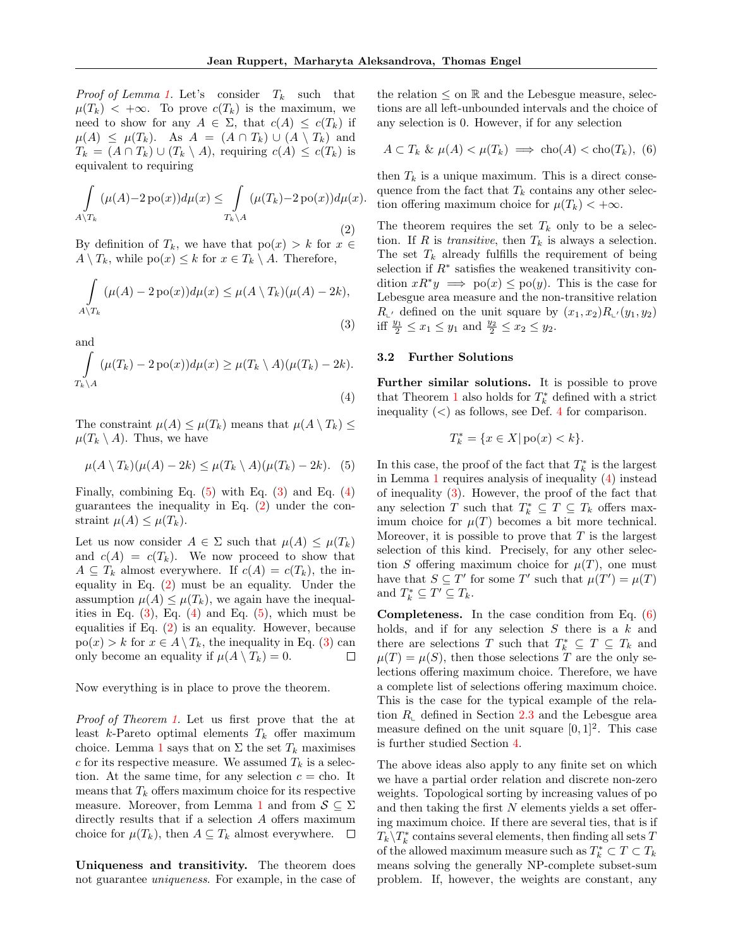*Proof of Lemma [1.](#page-3-4)* Let's consider  $T_k$  such that  $\mu(T_k)$  < + $\infty$ . To prove  $c(T_k)$  is the maximum, we need to show for any  $A \in \Sigma$ , that  $c(A) \leq c(T_k)$  if  $\mu(A) \leq \mu(T_k)$ . As  $A = (A \cap T_k) \cup (A \setminus T_k)$  and  $T_k = (A \cap T_k) \cup (T_k \setminus A)$ , requiring  $c(A) \leq c(T_k)$  is equivalent to requiring

<span id="page-4-4"></span>
$$
\int_{A \setminus T_k} (\mu(A) - 2\operatorname{po}(x)) d\mu(x) \le \int_{T_k \setminus A} (\mu(T_k) - 2\operatorname{po}(x)) d\mu(x).
$$
\n(2)

By definition of  $T_k$ , we have that  $p_0(x) > k$  for  $x \in$  $A \setminus T_k$ , while  $\text{po}(x) \leq k$  for  $x \in T_k \setminus A$ . Therefore,

$$
\int_{A \setminus T_k} (\mu(A) - 2\operatorname{po}(x)) d\mu(x) \le \mu(A \setminus T_k)(\mu(A) - 2k),
$$
\n(3)

and Z  $T_k\backslash A$  $(\mu(T_k) - 2\operatorname{po}(x))d\mu(x) \ge \mu(T_k \setminus A)(\mu(T_k) - 2k).$ (4)

The constraint  $\mu(A) \leq \mu(T_k)$  means that  $\mu(A \setminus T_k) \leq$  $\mu(T_k \setminus A)$ . Thus, we have

<span id="page-4-1"></span>
$$
\mu(A \setminus T_k)(\mu(A) - 2k) \le \mu(T_k \setminus A)(\mu(T_k) - 2k). \tag{5}
$$

Finally, combining Eq.  $(5)$  with Eq.  $(3)$  and Eq.  $(4)$ guarantees the inequality in Eq.  $(2)$  under the constraint  $\mu(A) \leq \mu(T_k)$ .

Let us now consider  $A \in \Sigma$  such that  $\mu(A) \leq \mu(T_k)$ and  $c(A) = c(T_k)$ . We now proceed to show that  $A \subseteq T_k$  almost everywhere. If  $c(A) = c(T_k)$ , the inequality in Eq. [\(2\)](#page-4-4) must be an equality. Under the assumption  $\mu(A) \leq \mu(T_k)$ , we again have the inequalities in Eq.  $(3)$ , Eq.  $(4)$  and Eq.  $(5)$ , which must be equalities if Eq. [\(2\)](#page-4-4) is an equality. However, because  $po(x) > k$  for  $x \in A \setminus T_k$ , the inequality in Eq. [\(3\)](#page-4-2) can only become an equality if  $\mu(A \setminus T_k) = 0$ .  $\Box$ 

Now everything is in place to prove the theorem.

Proof of Theorem [1.](#page-3-3) Let us first prove that the at least  $k$ -Pareto optimal elements  $T_k$  offer maximum choice. Lemma [1](#page-3-4) says that on  $\Sigma$  the set  $T_k$  maximises c for its respective measure. We assumed  $T_k$  is a selection. At the same time, for any selection  $c =$  cho. It means that  $T_k$  offers maximum choice for its respective measure. Moreover, from Lemma [1](#page-3-4) and from  $S \subseteq \Sigma$ directly results that if a selection A offers maximum choice for  $\mu(T_k)$ , then  $A \subseteq T_k$  almost everywhere.  $\Box$ 

Uniqueness and transitivity. The theorem does not guarantee uniqueness. For example, in the case of

the relation  $\leq$  on  $\mathbb R$  and the Lebesgue measure, selections are all left-unbounded intervals and the choice of any selection is 0. However, if for any selection

<span id="page-4-5"></span>
$$
A \subset T_k \& \mu(A) < \mu(T_k) \implies \text{cho}(A) < \text{cho}(T_k), \tag{6}
$$

then  $T_k$  is a unique maximum. This is a direct consequence from the fact that  $T_k$  contains any other selection offering maximum choice for  $\mu(T_k) < +\infty$ .

The theorem requires the set  $T_k$  only to be a selection. If R is transitive, then  $T_k$  is always a selection. The set  $T_k$  already fulfills the requirement of being selection if  $R^*$  satisfies the weakened transitivity condition  $xR^*y \implies \text{po}(x) \le \text{po}(y)$ . This is the case for Lebesgue area measure and the non-transitive relation  $R_{\iota'}$  defined on the unit square by  $(x_1, x_2)R_{\iota'}(y_1, y_2)$ iff  $\frac{y_1}{2} \le x_1 \le y_1$  and  $\frac{y_2}{2} \le x_2 \le y_2$ .

### <span id="page-4-2"></span><span id="page-4-0"></span>3.2 Further Solutions

<span id="page-4-3"></span>Further similar solutions. It is possible to prove that Theorem [1](#page-3-3) also holds for  $T_k^*$  defined with a strict inequality  $\langle \langle \rangle$  as follows, see Def. [4](#page-2-3) for comparison.

$$
T_k^* = \{ x \in X | \text{po}(x) < k \}.
$$

In this case, the proof of the fact that  $T_k^\ast$  is the largest in Lemma [1](#page-3-4) requires analysis of inequality [\(4\)](#page-4-3) instead of inequality [\(3\)](#page-4-2). However, the proof of the fact that any selection T such that  $T_k^* \subseteq T \subseteq T_k$  offers maximum choice for  $\mu(T)$  becomes a bit more technical. Moreover, it is possible to prove that  $T$  is the largest selection of this kind. Precisely, for any other selection S offering maximum choice for  $\mu(T)$ , one must have that  $S \subseteq T'$  for some T' such that  $\mu(T') = \mu(T)$ and  $T_k^* \subseteq T' \subseteq T_k$ .

Completeness. In the case condition from Eq. [\(6\)](#page-4-5) holds, and if for any selection  $S$  there is a  $k$  and there are selections T such that  $T_k^* \subseteq T \subseteq T_k$  and  $\mu(T) = \mu(S)$ , then those selections T are the only selections offering maximum choice. Therefore, we have a complete list of selections offering maximum choice. This is the case for the typical example of the relation  $R_{\text{L}}$  defined in Section [2.3](#page-2-0) and the Lebesgue area measure defined on the unit square  $[0, 1]^2$ . This case is further studied Section [4.](#page-5-0)

The above ideas also apply to any finite set on which we have a partial order relation and discrete non-zero weights. Topological sorting by increasing values of po and then taking the first  $N$  elements yields a set offering maximum choice. If there are several ties, that is if  $T_k\backslash T_k^*$  contains several elements, then finding all sets  $T$ of the allowed maximum measure such as  $T_k^* \subset T \subset T_k$ means solving the generally NP-complete subset-sum problem. If, however, the weights are constant, any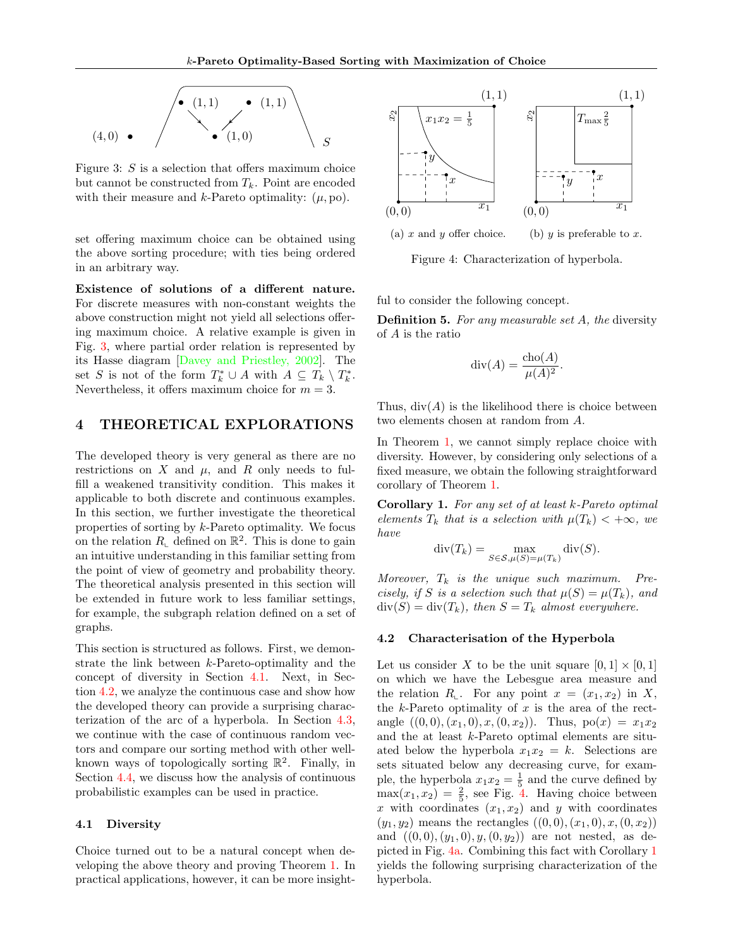<span id="page-5-1"></span>

Figure 3:  $S$  is a selection that offers maximum choice but cannot be constructed from  $T_k$ . Point are encoded with their measure and  $k$ -Pareto optimality:  $(\mu, \text{po})$ .

set offering maximum choice can be obtained using the above sorting procedure; with ties being ordered in an arbitrary way.

Existence of solutions of a different nature. For discrete measures with non-constant weights the above construction might not yield all selections offering maximum choice. A relative example is given in Fig. [3,](#page-5-1) where partial order relation is represented by its Hasse diagram [\[Davey and Priestley, 2002\]](#page-9-5). The set S is not of the form  $T_k^* \cup A$  with  $A \subseteq T_k \setminus T_k^*$ . Nevertheless, it offers maximum choice for  $m = 3$ .

## <span id="page-5-0"></span>4 THEORETICAL EXPLORATIONS

The developed theory is very general as there are no restrictions on X and  $\mu$ , and R only needs to fulfill a weakened transitivity condition. This makes it applicable to both discrete and continuous examples. In this section, we further investigate the theoretical properties of sorting by k-Pareto optimality. We focus on the relation  $R_{\text{\tiny L}}$  defined on  $\mathbb{R}^2$ . This is done to gain an intuitive understanding in this familiar setting from the point of view of geometry and probability theory. The theoretical analysis presented in this section will be extended in future work to less familiar settings, for example, the subgraph relation defined on a set of graphs.

This section is structured as follows. First, we demonstrate the link between k-Pareto-optimality and the concept of diversity in Section [4.1.](#page-5-2) Next, in Section [4.2,](#page-5-3) we analyze the continuous case and show how the developed theory can provide a surprising characterization of the arc of a hyperbola. In Section [4.3,](#page-6-0) we continue with the case of continuous random vectors and compare our sorting method with other wellknown ways of topologically sorting  $\mathbb{R}^2$ . Finally, in Section [4.4,](#page-6-1) we discuss how the analysis of continuous probabilistic examples can be used in practice.

### <span id="page-5-2"></span>4.1 Diversity

Choice turned out to be a natural concept when developing the above theory and proving Theorem [1.](#page-3-3) In practical applications, however, it can be more insight-

<span id="page-5-4"></span>

Figure 4: Characterization of hyperbola.

ful to consider the following concept.

**Definition 5.** For any measurable set A, the diversity of A is the ratio

$$
\operatorname{div}(A) = \frac{\operatorname{cho}(A)}{\mu(A)^2}.
$$

Thus,  $div(A)$  is the likelihood there is choice between two elements chosen at random from A.

In Theorem [1,](#page-3-3) we cannot simply replace choice with diversity. However, by considering only selections of a fixed measure, we obtain the following straightforward corollary of Theorem [1.](#page-3-3)

<span id="page-5-5"></span>Corollary 1. For any set of at least k-Pareto optimal elements  $T_k$  that is a selection with  $\mu(T_k) < +\infty$ , we have

$$
\operatorname{div}(T_k) = \max_{S \in \mathcal{S}, \mu(S) = \mu(T_k)} \operatorname{div}(S).
$$

Moreover,  $T_k$  is the unique such maximum. Precisely, if S is a selection such that  $\mu(S) = \mu(T_k)$ , and  $div(S) = div(T_k)$ , then  $S = T_k$  almost everywhere.

### <span id="page-5-3"></span>4.2 Characterisation of the Hyperbola

Let us consider X to be the unit square  $[0, 1] \times [0, 1]$ on which we have the Lebesgue area measure and the relation  $R_{\text{L}}$ . For any point  $x = (x_1, x_2)$  in X, the  $k$ -Pareto optimality of  $x$  is the area of the rectangle  $((0,0),(x_1,0),x,(0,x_2))$ . Thus,  $po(x) = x_1x_2$ and the at least k-Pareto optimal elements are situated below the hyperbola  $x_1x_2 = k$ . Selections are sets situated below any decreasing curve, for example, the hyperbola  $x_1x_2 = \frac{1}{5}$  and the curve defined by  $max(x_1, x_2) = \frac{2}{5}$ , see Fig. [4.](#page-5-4) Having choice between x with coordinates  $(x_1, x_2)$  and y with coordinates  $(y_1, y_2)$  means the rectangles  $((0, 0), (x_1, 0), x, (0, x_2))$ and  $((0,0),(y_1,0), y,(0,y_2))$  are not nested, as depicted in Fig. [4a.](#page-5-4) Combining this fact with Corollary [1](#page-5-5) yields the following surprising characterization of the hyperbola.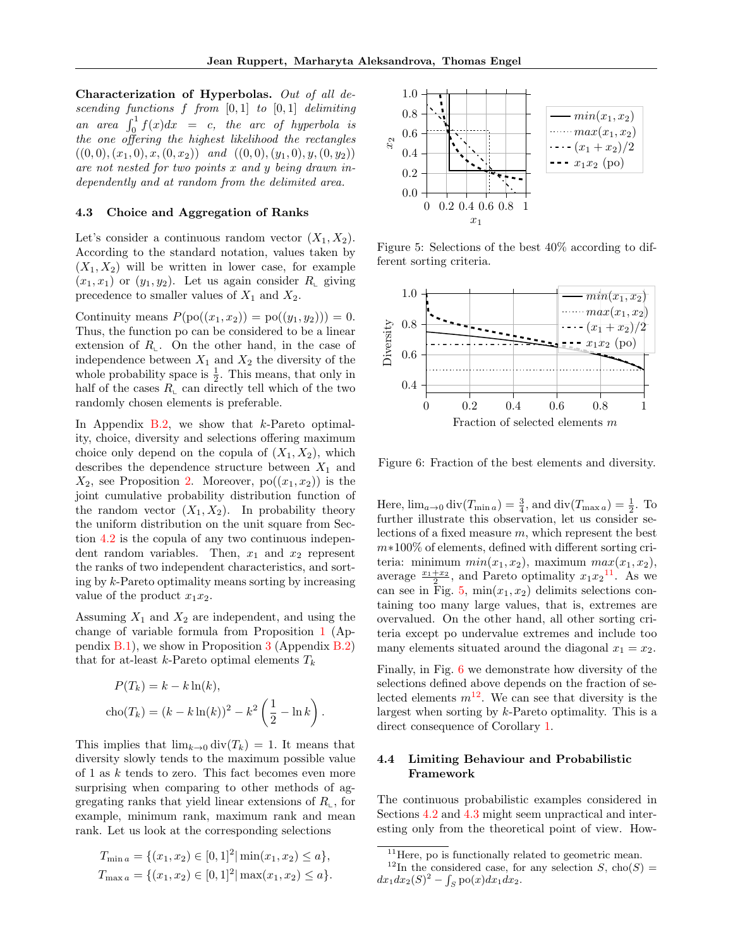Characterization of Hyperbolas. Out of all descending functions  $f$  from  $[0, 1]$  to  $[0, 1]$  delimiting an area  $\int_0^1 f(x)dx = c$ , the arc of hyperbola is the one offering the highest likelihood the rectangles  $((0, 0), (x_1, 0), x, (0, x_2))$  and  $((0, 0), (y_1, 0), y, (0, y_2))$ are not nested for two points x and y being drawn independently and at random from the delimited area.

### <span id="page-6-0"></span>4.3 Choice and Aggregation of Ranks

Let's consider a continuous random vector  $(X_1, X_2)$ . According to the standard notation, values taken by  $(X_1, X_2)$  will be written in lower case, for example  $(x_1, x_1)$  or  $(y_1, y_2)$ . Let us again consider  $R_{\text{L}}$  giving precedence to smaller values of  $X_1$  and  $X_2$ .

Continuity means  $P(po((x_1, x_2)) = po((y_1, y_2))) = 0.$ Thus, the function po can be considered to be a linear extension of  $R_{\text{L}}$ . On the other hand, in the case of independence between  $X_1$  and  $X_2$  the diversity of the whole probability space is  $\frac{1}{2}$ . This means, that only in half of the cases  $R_{\text{L}}$  can directly tell which of the two randomly chosen elements is preferable.

In Appendix [B.2,](#page-13-1) we show that  $k$ -Pareto optimality, choice, diversity and selections offering maximum choice only depend on the copula of  $(X_1, X_2)$ , which describes the dependence structure between  $X_1$  and  $X_2$ , see Proposition [2.](#page-13-2) Moreover,  $po((x_1, x_2))$  is the joint cumulative probability distribution function of the random vector  $(X_1, X_2)$ . In probability theory the uniform distribution on the unit square from Section [4.2](#page-5-3) is the copula of any two continuous independent random variables. Then,  $x_1$  and  $x_2$  represent the ranks of two independent characteristics, and sorting by k-Pareto optimality means sorting by increasing value of the product  $x_1x_2$ .

Assuming  $X_1$  and  $X_2$  are independent, and using the change of variable formula from Proposition [1](#page-13-3) (Appendix  $B(1)$ , we show in Proposition [3](#page-13-5) (Appendix  $B(2)$ ) that for at-least k-Pareto optimal elements  $T_k$ 

$$
P(T_k) = k - k \ln(k),
$$
  
cho
$$
(T_k) = (k - k \ln(k))^2 - k^2 \left(\frac{1}{2} - \ln k\right).
$$

This implies that  $\lim_{k\to 0} \text{div}(T_k) = 1$ . It means that diversity slowly tends to the maximum possible value of 1 as k tends to zero. This fact becomes even more surprising when comparing to other methods of aggregating ranks that yield linear extensions of  $R_{\text{l}}$ , for example, minimum rank, maximum rank and mean rank. Let us look at the corresponding selections

$$
T_{\min a} = \{ (x_1, x_2) \in [0, 1]^2 | \min(x_1, x_2) \le a \},
$$
  
\n
$$
T_{\max a} = \{ (x_1, x_2) \in [0, 1]^2 | \max(x_1, x_2) \le a \}.
$$

<span id="page-6-2"></span>

Figure 5: Selections of the best 40% according to different sorting criteria.

<span id="page-6-3"></span>

Figure 6: Fraction of the best elements and diversity.

Here,  $\lim_{a\to 0} \text{div}(T_{\min a}) = \frac{3}{4}$ , and  $\text{div}(T_{\max a}) = \frac{1}{2}$ . To further illustrate this observation, let us consider selections of a fixed measure m, which represent the best m∗100% of elements, defined with different sorting criteria: minimum  $min(x_1, x_2)$ , maximum  $max(x_1, x_2)$ , average  $\frac{x_1+x_2}{2}$ , and Pareto optimality  $x_1x_2$ <sup>[11](#page-0-0)</sup>. As we can see in Fig. [5,](#page-6-2)  $min(x_1, x_2)$  delimits selections containing too many large values, that is, extremes are overvalued. On the other hand, all other sorting criteria except po undervalue extremes and include too many elements situated around the diagonal  $x_1 = x_2$ .

Finally, in Fig. [6](#page-6-3) we demonstrate how diversity of the selections defined above depends on the fraction of selected elements  $m^{12}$  $m^{12}$  $m^{12}$ . We can see that diversity is the largest when sorting by  $k$ -Pareto optimality. This is a direct consequence of Corollary [1.](#page-5-5)

## <span id="page-6-1"></span>4.4 Limiting Behaviour and Probabilistic Framework

The continuous probabilistic examples considered in Sections [4.2](#page-5-3) and [4.3](#page-6-0) might seem unpractical and interesting only from the theoretical point of view. How-

 $^{11}\rm{Here},$  po is functionally related to geometric mean.

<sup>&</sup>lt;sup>12</sup>In the considered case, for any selection S, cho(S) =  $dx_1 dx_2(S)^2 - \int_S \text{po}(x) dx_1 dx_2.$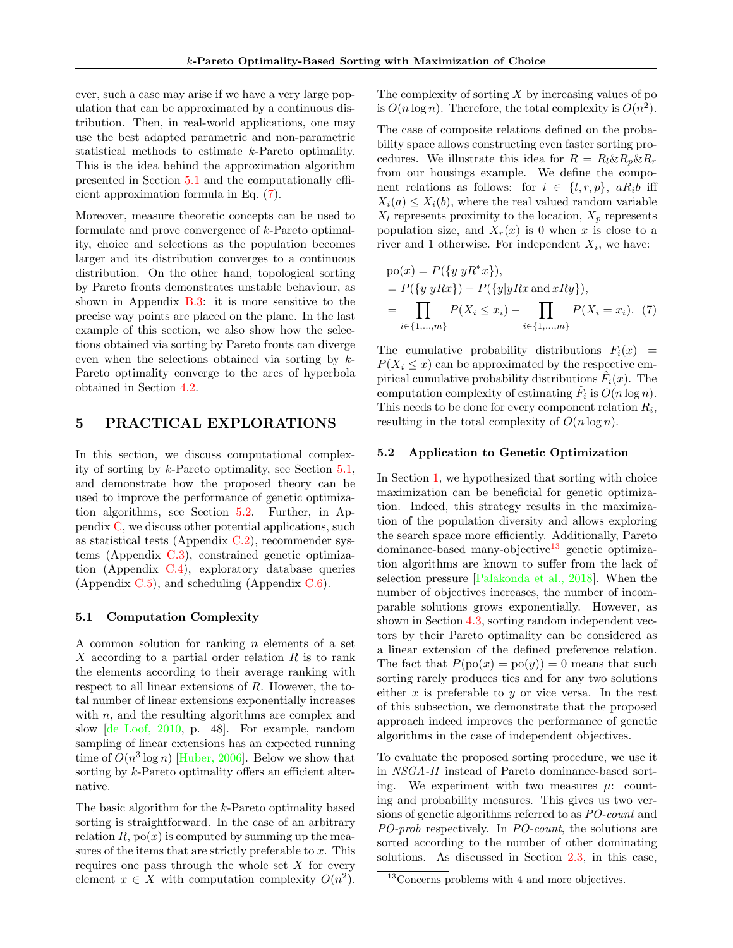ever, such a case may arise if we have a very large population that can be approximated by a continuous distribution. Then, in real-world applications, one may use the best adapted parametric and non-parametric statistical methods to estimate k-Pareto optimality. This is the idea behind the approximation algorithm presented in Section [5.1](#page-7-1) and the computationally efficient approximation formula in Eq. [\(7\)](#page-7-2).

Moreover, measure theoretic concepts can be used to formulate and prove convergence of k-Pareto optimality, choice and selections as the population becomes larger and its distribution converges to a continuous distribution. On the other hand, topological sorting by Pareto fronts demonstrates unstable behaviour, as shown in Appendix [B.3:](#page-14-0) it is more sensitive to the precise way points are placed on the plane. In the last example of this section, we also show how the selections obtained via sorting by Pareto fronts can diverge even when the selections obtained via sorting by k-Pareto optimality converge to the arcs of hyperbola obtained in Section [4.2.](#page-5-3)

## <span id="page-7-0"></span>5 PRACTICAL EXPLORATIONS

In this section, we discuss computational complexity of sorting by k-Pareto optimality, see Section [5.1,](#page-7-1) and demonstrate how the proposed theory can be used to improve the performance of genetic optimization algorithms, see Section [5.2.](#page-7-3) Further, in Appendix [C,](#page-16-0) we discuss other potential applications, such as statistical tests (Appendix  $C.2$ ), recommender systems (Appendix  $C.3$ ), constrained genetic optimization (Appendix [C.4\)](#page-19-0), exploratory database queries (Appendix  $C.5$ ), and scheduling (Appendix  $C.6$ ).

### <span id="page-7-1"></span>5.1 Computation Complexity

A common solution for ranking  $n$  elements of a set  $X$  according to a partial order relation  $R$  is to rank the elements according to their average ranking with respect to all linear extensions of R. However, the total number of linear extensions exponentially increases with  $n$ , and the resulting algorithms are complex and slow [\[de Loof, 2010,](#page-9-10) p. 48]. For example, random sampling of linear extensions has an expected running time of  $O(n^3 \log n)$  [\[Huber, 2006\]](#page-9-11). Below we show that sorting by k-Pareto optimality offers an efficient alternative.

The basic algorithm for the k-Pareto optimality based sorting is straightforward. In the case of an arbitrary relation R,  $po(x)$  is computed by summing up the measures of the items that are strictly preferable to  $x$ . This requires one pass through the whole set  $X$  for every element  $x \in X$  with computation complexity  $O(n^2)$ .

The complexity of sorting  $X$  by increasing values of po is  $O(n \log n)$ . Therefore, the total complexity is  $O(n^2)$ .

The case of composite relations defined on the probability space allows constructing even faster sorting procedures. We illustrate this idea for  $R = R_l \& R_p \& R_r$ from our housings example. We define the component relations as follows: for  $i \in \{l, r, p\}$ ,  $aR_i b$  iff  $X_i(a) \leq X_i(b)$ , where the real valued random variable  $X_l$  represents proximity to the location,  $X_p$  represents population size, and  $X_r(x)$  is 0 when x is close to a river and 1 otherwise. For independent  $X_i$ , we have:

<span id="page-7-2"></span>
$$
po(x) = P({y|yR*x}),
$$
  
=  $P({y|yRx}\}) - P({y|yRx \text{ and } xRy}),$   
=  $\prod_{i \in \{1,...,m\}} P(X_i \le x_i) - \prod_{i \in \{1,...,m\}} P(X_i = x_i).$  (7)

The cumulative probability distributions  $F_i(x)$  =  $P(X_i \leq x)$  can be approximated by the respective empirical cumulative probability distributions  $\hat{F}_i(x)$ . The computation complexity of estimating  $\hat{F}_i$  is  $O(n \log n)$ . This needs to be done for every component relation  $R_i$ , resulting in the total complexity of  $O(n \log n)$ .

### <span id="page-7-3"></span>5.2 Application to Genetic Optimization

In Section [1,](#page-0-1) we hypothesized that sorting with choice maximization can be beneficial for genetic optimization. Indeed, this strategy results in the maximization of the population diversity and allows exploring the search space more efficiently. Additionally, Pareto dominance-based many-objective<sup>[13](#page-0-0)</sup> genetic optimization algorithms are known to suffer from the lack of selection pressure [\[Palakonda et al., 2018\]](#page-9-12). When the number of objectives increases, the number of incomparable solutions grows exponentially. However, as shown in Section [4.3,](#page-6-0) sorting random independent vectors by their Pareto optimality can be considered as a linear extension of the defined preference relation. The fact that  $P(po(x) = po(y)) = 0$  means that such sorting rarely produces ties and for any two solutions either  $x$  is preferable to  $y$  or vice versa. In the rest of this subsection, we demonstrate that the proposed approach indeed improves the performance of genetic algorithms in the case of independent objectives.

To evaluate the proposed sorting procedure, we use it in NSGA-II instead of Pareto dominance-based sorting. We experiment with two measures  $\mu$ : counting and probability measures. This gives us two versions of genetic algorithms referred to as PO-count and PO-prob respectively. In PO-count, the solutions are sorted according to the number of other dominating solutions. As discussed in Section [2.3,](#page-2-0) in this case,

<sup>&</sup>lt;sup>13</sup>Concerns problems with 4 and more objectives.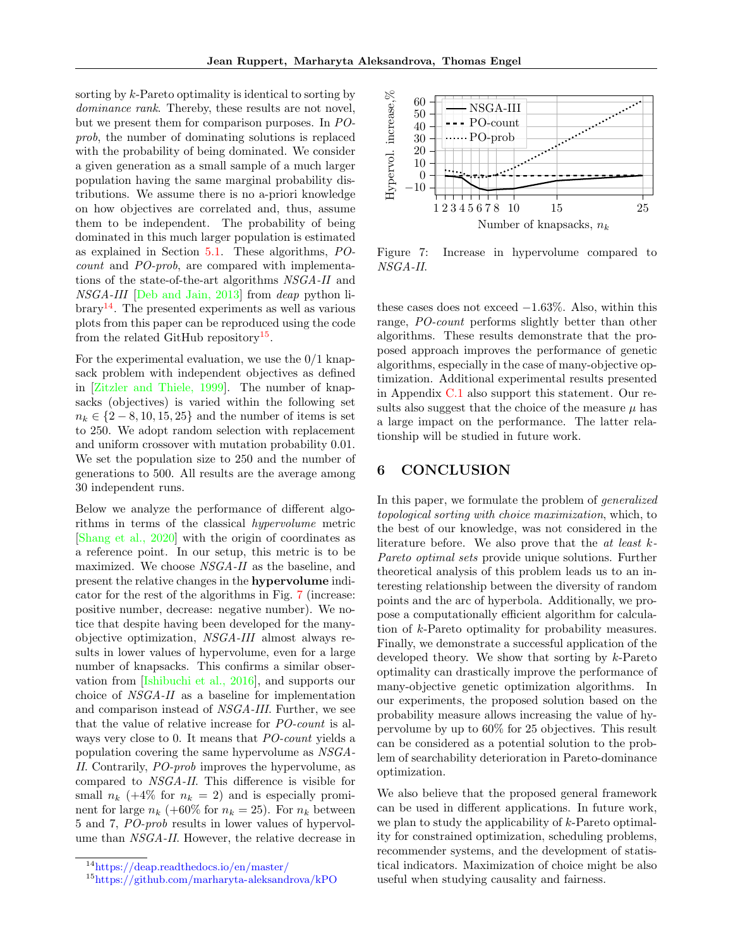sorting by k-Pareto optimality is identical to sorting by dominance rank. Thereby, these results are not novel, but we present them for comparison purposes. In POprob, the number of dominating solutions is replaced with the probability of being dominated. We consider a given generation as a small sample of a much larger population having the same marginal probability distributions. We assume there is no a-priori knowledge on how objectives are correlated and, thus, assume them to be independent. The probability of being dominated in this much larger population is estimated as explained in Section [5.1.](#page-7-1) These algorithms, POcount and PO-prob, are compared with implementations of the state-of-the-art algorithms NSGA-II and NSGA-III [\[Deb and Jain, 2013\]](#page-9-13) from deap python li- $\text{brary}^{\,14}$  $\text{brary}^{\,14}$  $\text{brary}^{\,14}$ . The presented experiments as well as various plots from this paper can be reproduced using the code from the related GitHub repository<sup>[15](#page-0-0)</sup>.

For the experimental evaluation, we use the  $0/1$  knapsack problem with independent objectives as defined in [\[Zitzler and Thiele, 1999\]](#page-10-1). The number of knapsacks (objectives) is varied within the following set  $n_k \in \{2-8, 10, 15, 25\}$  and the number of items is set to 250. We adopt random selection with replacement and uniform crossover with mutation probability 0.01. We set the population size to 250 and the number of generations to 500. All results are the average among 30 independent runs.

Below we analyze the performance of different algorithms in terms of the classical hypervolume metric [\[Shang et al., 2020\]](#page-10-2) with the origin of coordinates as a reference point. In our setup, this metric is to be maximized. We choose NSGA-II as the baseline, and present the relative changes in the hypervolume indicator for the rest of the algorithms in Fig. [7](#page-8-0) (increase: positive number, decrease: negative number). We notice that despite having been developed for the manyobjective optimization, NSGA-III almost always results in lower values of hypervolume, even for a large number of knapsacks. This confirms a similar observation from [\[Ishibuchi et al., 2016\]](#page-9-14), and supports our choice of NSGA-II as a baseline for implementation and comparison instead of NSGA-III. Further, we see that the value of relative increase for PO-count is always very close to 0. It means that PO-count yields a population covering the same hypervolume as NSGA-II. Contrarily, PO-prob improves the hypervolume, as compared to NSGA-II. This difference is visible for small  $n_k$  (+4\% for  $n_k = 2$ ) and is especially prominent for large  $n_k$  (+60% for  $n_k = 25$ ). For  $n_k$  between 5 and 7, PO-prob results in lower values of hypervolume than NSGA-II. However, the relative decrease in

<span id="page-8-0"></span>

Figure 7: Increase in hypervolume compared to NSGA-II.

these cases does not exceed  $-1.63\%$ . Also, within this range, PO-count performs slightly better than other algorithms. These results demonstrate that the proposed approach improves the performance of genetic algorithms, especially in the case of many-objective optimization. Additional experimental results presented in Appendix [C.1](#page-16-1) also support this statement. Our results also suggest that the choice of the measure  $\mu$  has a large impact on the performance. The latter relationship will be studied in future work.

# 6 CONCLUSION

In this paper, we formulate the problem of generalized topological sorting with choice maximization, which, to the best of our knowledge, was not considered in the literature before. We also prove that the at least k-Pareto optimal sets provide unique solutions. Further theoretical analysis of this problem leads us to an interesting relationship between the diversity of random points and the arc of hyperbola. Additionally, we propose a computationally efficient algorithm for calculation of k-Pareto optimality for probability measures. Finally, we demonstrate a successful application of the developed theory. We show that sorting by k-Pareto optimality can drastically improve the performance of many-objective genetic optimization algorithms. In our experiments, the proposed solution based on the probability measure allows increasing the value of hypervolume by up to 60% for 25 objectives. This result can be considered as a potential solution to the problem of searchability deterioration in Pareto-dominance optimization.

We also believe that the proposed general framework can be used in different applications. In future work, we plan to study the applicability of k-Pareto optimality for constrained optimization, scheduling problems, recommender systems, and the development of statistical indicators. Maximization of choice might be also useful when studying causality and fairness.

<sup>14</sup><https://deap.readthedocs.io/en/master/>

<sup>15</sup><https://github.com/marharyta-aleksandrova/kPO>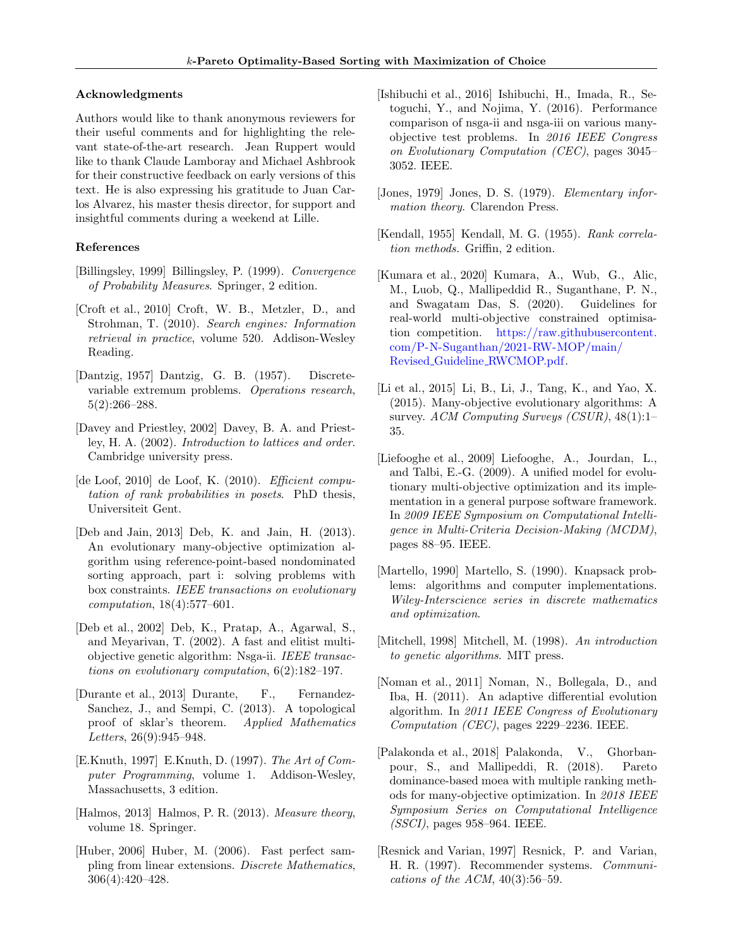### Acknowledgments

Authors would like to thank anonymous reviewers for their useful comments and for highlighting the relevant state-of-the-art research. Jean Ruppert would like to thank Claude Lamboray and Michael Ashbrook for their constructive feedback on early versions of this text. He is also expressing his gratitude to Juan Carlos Alvarez, his master thesis director, for support and insightful comments during a weekend at Lille.

### References

- <span id="page-9-16"></span>[Billingsley, 1999] Billingsley, P. (1999). Convergence of Probability Measures. Springer, 2 edition.
- <span id="page-9-0"></span>[Croft et al., 2010] Croft, W. B., Metzler, D., and Strohman, T. (2010). Search engines: Information retrieval in practice, volume 520. Addison-Wesley Reading.
- <span id="page-9-9"></span>[Dantzig, 1957] Dantzig, G. B. (1957). Discretevariable extremum problems. Operations research, 5(2):266–288.
- <span id="page-9-5"></span>[Davey and Priestley, 2002] Davey, B. A. and Priestley, H. A. (2002). Introduction to lattices and order. Cambridge university press.
- <span id="page-9-10"></span>[de Loof, 2010] de Loof, K. (2010). Efficient computation of rank probabilities in posets. PhD thesis, Universiteit Gent.
- <span id="page-9-13"></span>[Deb and Jain, 2013] Deb, K. and Jain, H. (2013). An evolutionary many-objective optimization algorithm using reference-point-based nondominated sorting approach, part i: solving problems with box constraints. IEEE transactions on evolutionary computation, 18(4):577–601.
- <span id="page-9-17"></span>[Deb et al., 2002] Deb, K., Pratap, A., Agarwal, S., and Meyarivan, T. (2002). A fast and elitist multiobjective genetic algorithm: Nsga-ii. IEEE transactions on evolutionary computation, 6(2):182–197.
- <span id="page-9-15"></span>[Durante et al., 2013] Durante, F., Fernandez-Sanchez, J., and Sempi, C. (2013). A topological proof of sklar's theorem. Applied Mathematics Letters, 26(9):945–948.
- <span id="page-9-1"></span>[E.Knuth, 1997] E.Knuth, D. (1997). The Art of Computer Programming, volume 1. Addison-Wesley, Massachusetts, 3 edition.
- <span id="page-9-4"></span>[Halmos, 2013] Halmos, P. R. (2013). Measure theory, volume 18. Springer.
- <span id="page-9-11"></span>[Huber, 2006] Huber, M. (2006). Fast perfect sampling from linear extensions. Discrete Mathematics, 306(4):420–428.
- <span id="page-9-14"></span>[Ishibuchi et al., 2016] Ishibuchi, H., Imada, R., Setoguchi, Y., and Nojima, Y. (2016). Performance comparison of nsga-ii and nsga-iii on various manyobjective test problems. In 2016 IEEE Congress on Evolutionary Computation (CEC), pages 3045– 3052. IEEE.
- <span id="page-9-19"></span>[Jones, 1979] Jones, D. S. (1979). Elementary information theory. Clarendon Press.
- <span id="page-9-18"></span>[Kendall, 1955] Kendall, M. G. (1955). Rank correlation methods. Griffin, 2 edition.
- <span id="page-9-20"></span>[Kumara et al., 2020] Kumara, A., Wub, G., Alic, M., Luob, Q., Mallipeddid R., Suganthane, P. N., and Swagatam Das, S. (2020). Guidelines for real-world multi-objective constrained optimisation competition. [https://raw.githubusercontent.](https://raw.githubusercontent.com/P-N-Suganthan/2021-RW-MOP/main/Revised_Guideline_RWCMOP.pdf) [com/P-N-Suganthan/2021-RW-MOP/main/](https://raw.githubusercontent.com/P-N-Suganthan/2021-RW-MOP/main/Revised_Guideline_RWCMOP.pdf) Revised Guideline [RWCMOP.pdf.](https://raw.githubusercontent.com/P-N-Suganthan/2021-RW-MOP/main/Revised_Guideline_RWCMOP.pdf)
- <span id="page-9-6"></span>[Li et al., 2015] Li, B., Li, J., Tang, K., and Yao, X. (2015). Many-objective evolutionary algorithms: A survey. ACM Computing Surveys (CSUR), 48(1):1– 35.
- <span id="page-9-7"></span>[Liefooghe et al., 2009] Liefooghe, A., Jourdan, L., and Talbi, E.-G. (2009). A unified model for evolutionary multi-objective optimization and its implementation in a general purpose software framework. In 2009 IEEE Symposium on Computational Intelligence in Multi-Criteria Decision-Making (MCDM), pages 88–95. IEEE.
- <span id="page-9-8"></span>[Martello, 1990] Martello, S. (1990). Knapsack problems: algorithms and computer implementations. Wiley-Interscience series in discrete mathematics and optimization.
- <span id="page-9-3"></span>[Mitchell, 1998] Mitchell, M. (1998). An introduction to genetic algorithms. MIT press.
- <span id="page-9-21"></span>[Noman et al., 2011] Noman, N., Bollegala, D., and Iba, H. (2011). An adaptive differential evolution algorithm. In 2011 IEEE Congress of Evolutionary Computation (CEC), pages 2229–2236. IEEE.
- <span id="page-9-12"></span>[Palakonda et al., 2018] Palakonda, V., Ghorbanpour, S., and Mallipeddi, R. (2018). Pareto dominance-based moea with multiple ranking methods for many-objective optimization. In 2018 IEEE Symposium Series on Computational Intelligence (SSCI), pages 958–964. IEEE.
- <span id="page-9-2"></span>[Resnick and Varian, 1997] Resnick, P. and Varian, H. R. (1997). Recommender systems. Communi*cations of the ACM*,  $40(3):56-59$ .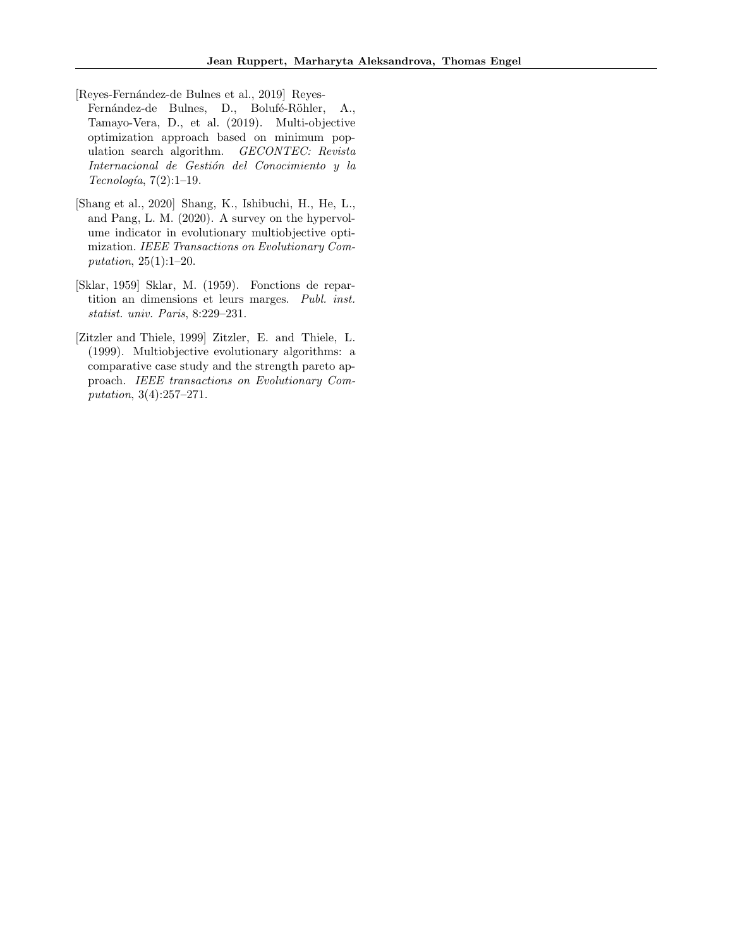<span id="page-10-0"></span>[Reyes-Fernández-de Bulnes et al., 2019] Reyes-

- Fernández-de Bulnes, D., Bolufé-Röhler, A., Tamayo-Vera, D., et al. (2019). Multi-objective optimization approach based on minimum population search algorithm. GECONTEC: Revista Internacional de Gestión del Conocimiento y la  $Tecnologia, 7(2):1-19.$
- <span id="page-10-2"></span>[Shang et al., 2020] Shang, K., Ishibuchi, H., He, L., and Pang, L. M. (2020). A survey on the hypervolume indicator in evolutionary multiobjective optimization. IEEE Transactions on Evolutionary Computation, 25(1):1–20.
- <span id="page-10-3"></span>[Sklar, 1959] Sklar, M. (1959). Fonctions de repartition an dimensions et leurs marges. Publ. inst. statist. univ. Paris, 8:229–231.
- <span id="page-10-1"></span>[Zitzler and Thiele, 1999] Zitzler, E. and Thiele, L. (1999). Multiobjective evolutionary algorithms: a comparative case study and the strength pareto approach. IEEE transactions on Evolutionary Computation, 3(4):257–271.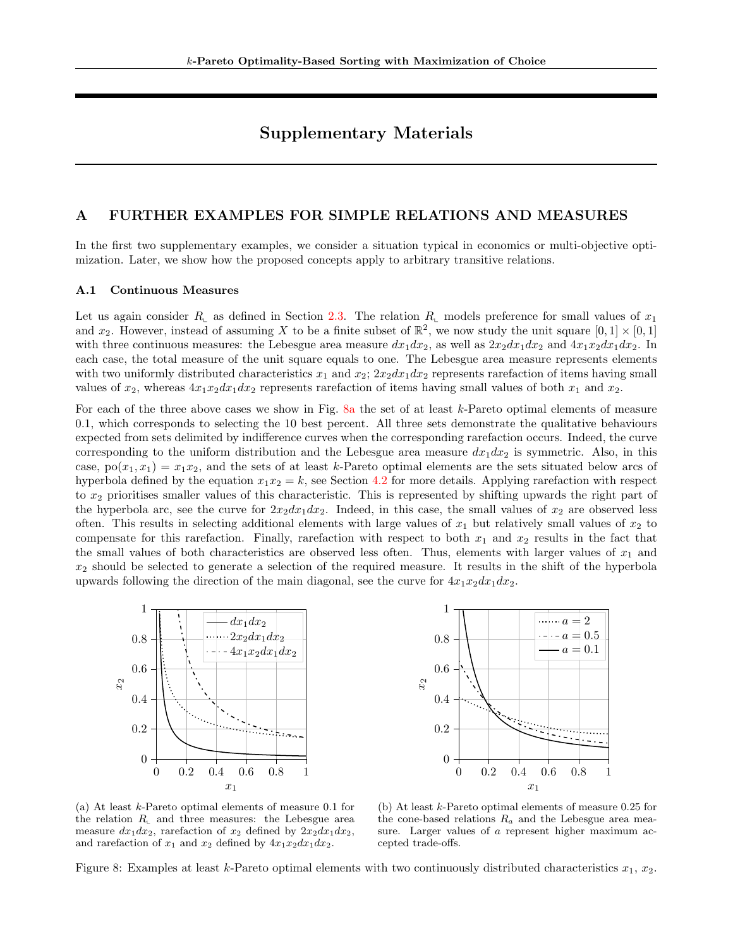# Supplementary Materials

## <span id="page-11-0"></span>A FURTHER EXAMPLES FOR SIMPLE RELATIONS AND MEASURES

In the first two supplementary examples, we consider a situation typical in economics or multi-objective optimization. Later, we show how the proposed concepts apply to arbitrary transitive relations.

### <span id="page-11-2"></span>A.1 Continuous Measures

Let us again consider  $R_{\text{L}}$  as defined in Section [2.3.](#page-2-0) The relation  $R_{\text{L}}$  models preference for small values of  $x_1$ and  $x_2$ . However, instead of assuming X to be a finite subset of  $\mathbb{R}^2$ , we now study the unit square  $[0,1] \times [0,1]$ with three continuous measures: the Lebesgue area measure  $dx_1dx_2$ , as well as  $2x_2dx_1dx_2$  and  $4x_1x_2dx_1dx_2$ . In each case, the total measure of the unit square equals to one. The Lebesgue area measure represents elements with two uniformly distributed characteristics  $x_1$  and  $x_2$ ;  $2x_2dx_1dx_2$  represents rarefaction of items having small values of  $x_2$ , whereas  $4x_1x_2dx_1dx_2$  represents rarefaction of items having small values of both  $x_1$  and  $x_2$ .

For each of the three above cases we show in Fig. [8a](#page-11-1) the set of at least k-Pareto optimal elements of measure 0.1, which corresponds to selecting the 10 best percent. All three sets demonstrate the qualitative behaviours expected from sets delimited by indifference curves when the corresponding rarefaction occurs. Indeed, the curve corresponding to the uniform distribution and the Lebesgue area measure  $dx_1dx_2$  is symmetric. Also, in this case,  $p_0(x_1, x_1) = x_1x_2$ , and the sets of at least k-Pareto optimal elements are the sets situated below arcs of hyperbola defined by the equation  $x_1x_2 = k$ , see Section [4.2](#page-5-3) for more details. Applying rarefaction with respect to  $x_2$  prioritises smaller values of this characteristic. This is represented by shifting upwards the right part of the hyperbola arc, see the curve for  $2x_2dx_1dx_2$ . Indeed, in this case, the small values of  $x_2$  are observed less often. This results in selecting additional elements with large values of  $x_1$  but relatively small values of  $x_2$  to compensate for this rarefaction. Finally, rarefaction with respect to both  $x_1$  and  $x_2$  results in the fact that the small values of both characteristics are observed less often. Thus, elements with larger values of  $x_1$  and  $x_2$  should be selected to generate a selection of the required measure. It results in the shift of the hyperbola upwards following the direction of the main diagonal, see the curve for  $4x_1x_2dx_1dx_2$ .

<span id="page-11-1"></span>



(a) At least k-Pareto optimal elements of measure 0.1 for the relation  $R_{\text{I}}$  and three measures: the Lebesgue area measure  $dx_1dx_2$ , rarefaction of  $x_2$  defined by  $2x_2dx_1dx_2$ , and rarefaction of  $x_1$  and  $x_2$  defined by  $4x_1x_2dx_1dx_2$ .

(b) At least k-Pareto optimal elements of measure 0.25 for the cone-based relations  $R_a$  and the Lebesgue area measure. Larger values of a represent higher maximum accepted trade-offs.

Figure 8: Examples at least k-Pareto optimal elements with two continuously distributed characteristics  $x_1, x_2$ .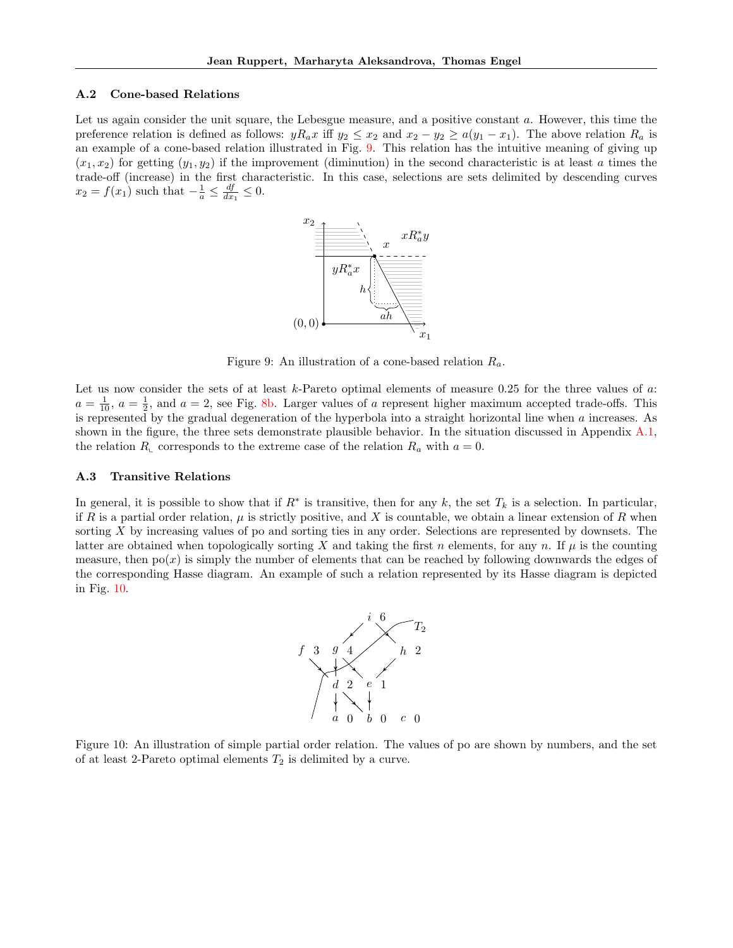#### A.2 Cone-based Relations

<span id="page-12-0"></span>Let us again consider the unit square, the Lebesgue measure, and a positive constant a. However, this time the preference relation is defined as follows:  $yR_a x$  iff  $y_2 \le x_2$  and  $x_2 - y_2 \ge a(y_1 - x_1)$ . The above relation  $R_a$  is an example of a cone-based relation illustrated in Fig. [9.](#page-12-0) This relation has the intuitive meaning of giving up  $(x_1, x_2)$  for getting  $(y_1, y_2)$  if the improvement (diminution) in the second characteristic is at least a times the trade-off (increase) in the first characteristic. In this case, selections are sets delimited by descending curves  $x_2 = f(x_1)$  such that  $-\frac{1}{a} \leq \frac{df}{dx_1} \leq 0$ .



Figure 9: An illustration of a cone-based relation  $R_a$ .

Let us now consider the sets of at least  $k$ -Pareto optimal elements of measure 0.25 for the three values of  $a$ :  $a = \frac{1}{10}$ ,  $a = \frac{1}{2}$ , and  $a = 2$ , see Fig. [8b.](#page-11-1) Larger values of a represent higher maximum accepted trade-offs. This is represented by the gradual degeneration of the hyperbola into a straight horizontal line when a increases. As shown in the figure, the three sets demonstrate plausible behavior. In the situation discussed in Appendix [A.1,](#page-11-2) the relation  $R_{\text{L}}$  corresponds to the extreme case of the relation  $R_a$  with  $a = 0$ .

### A.3 Transitive Relations

<span id="page-12-1"></span>In general, it is possible to show that if  $R^*$  is transitive, then for any k, the set  $T_k$  is a selection. In particular, if R is a partial order relation,  $\mu$  is strictly positive, and X is countable, we obtain a linear extension of R when sorting  $X$  by increasing values of po and sorting ties in any order. Selections are represented by downsets. The latter are obtained when topologically sorting X and taking the first n elements, for any n. If  $\mu$  is the counting measure, then  $po(x)$  is simply the number of elements that can be reached by following downwards the edges of the corresponding Hasse diagram. An example of such a relation represented by its Hasse diagram is depicted in Fig. [10.](#page-12-1)



Figure 10: An illustration of simple partial order relation. The values of po are shown by numbers, and the set of at least 2-Pareto optimal elements  $T_2$  is delimited by a curve.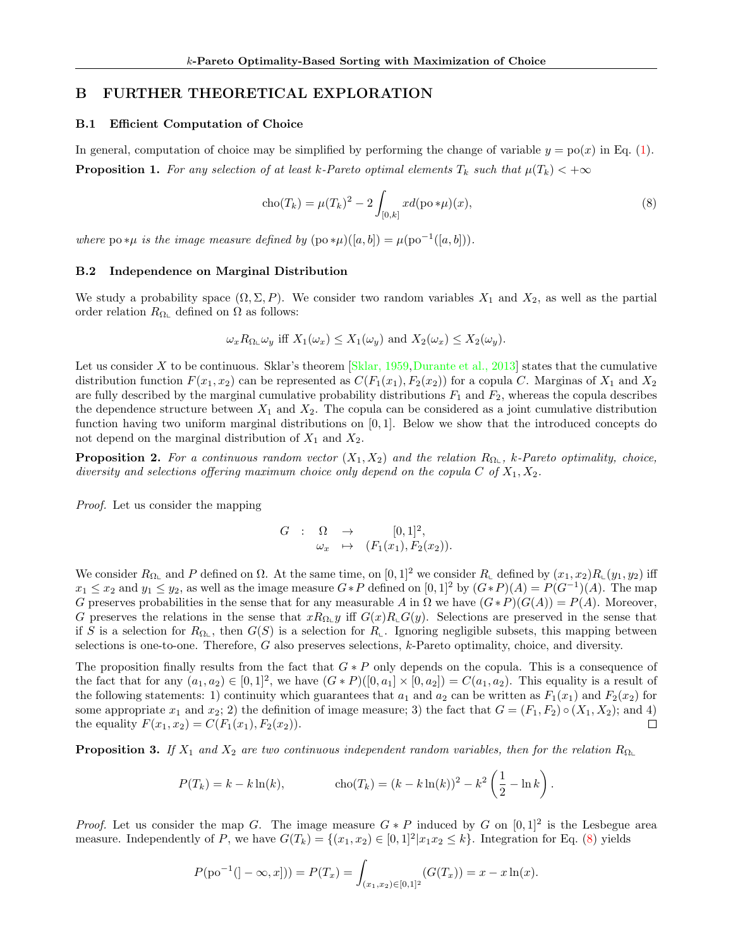## <span id="page-13-0"></span>B FURTHER THEORETICAL EXPLORATION

### <span id="page-13-4"></span>B.1 Efficient Computation of Choice

<span id="page-13-3"></span>In general, computation of choice may be simplified by performing the change of variable  $y = p_0(x)$  in Eq. [\(1\)](#page-3-2). **Proposition 1.** For any selection of at least k-Pareto optimal elements  $T_k$  such that  $\mu(T_k) < +\infty$ 

<span id="page-13-6"></span>
$$
cho(T_k) = \mu(T_k)^2 - 2 \int_{[0,k]} x d(po*\mu)(x),
$$
\n(8)

where po \* $\mu$  is the image measure defined by  $(p \circ \ast \mu)([a, b]) = \mu(p \circ (a, b]).$ 

### <span id="page-13-1"></span>B.2 Independence on Marginal Distribution

We study a probability space  $(\Omega, \Sigma, P)$ . We consider two random variables  $X_1$  and  $X_2$ , as well as the partial order relation  $R_{\Omega_{\rm L}}$  defined on  $\Omega$  as follows:

$$
\omega_x R_{\Omega} \omega_y
$$
 iff  $X_1(\omega_x) \le X_1(\omega_y)$  and  $X_2(\omega_x) \le X_2(\omega_y)$ .

Let us consider X to be continuous. Sklar's theorem  $[Sklar, 1959]$  [Durante et al., 2013\]](#page-9-15) states that the cumulative distribution function  $F(x_1, x_2)$  can be represented as  $C(F_1(x_1), F_2(x_2))$  for a copula C. Marginas of  $X_1$  and  $X_2$ are fully described by the marginal cumulative probability distributions  $F_1$  and  $F_2$ , whereas the copula describes the dependence structure between  $X_1$  and  $X_2$ . The copula can be considered as a joint cumulative distribution function having two uniform marginal distributions on [0, 1]. Below we show that the introduced concepts do not depend on the marginal distribution of  $X_1$  and  $X_2$ .

<span id="page-13-2"></span>**Proposition 2.** For a continuous random vector  $(X_1, X_2)$  and the relation  $R_{\Omega\cup}$ , k-Pareto optimality, choice, diversity and selections offering maximum choice only depend on the copula C of  $X_1, X_2$ .

Proof. Let us consider the mapping

$$
G : \Omega \to [0,1]^2,
$$
  

$$
\omega_x \mapsto (F_1(x_1), F_2(x_2)).
$$

We consider  $R_{\Omega \sqcup}$  and P defined on  $\Omega$ . At the same time, on  $[0, 1]^2$  we consider  $R_{\sqcup}$  defined by  $(x_1, x_2)R_{\sqcup}(y_1, y_2)$  iff  $x_1 \leq x_2$  and  $y_1 \leq y_2$ , as well as the image measure  $G * P$  defined on  $[0, 1]^2$  by  $(G * P)(A) = P(G^{-1})(A)$ . The map G preserves probabilities in the sense that for any measurable A in  $\Omega$  we have  $(G * P)(G(A)) = P(A)$ . Moreover, G preserves the relations in the sense that  $xR_{\Omega_L}y$  iff  $G(x)R_{\Omega_L}G(y)$ . Selections are preserved in the sense that if S is a selection for  $R_{\Omega_{\mathbb{L}}}$ , then  $G(S)$  is a selection for  $R_{\mathbb{L}}$ . Ignoring negligible subsets, this mapping between selections is one-to-one. Therefore, G also preserves selections, k-Pareto optimality, choice, and diversity.

The proposition finally results from the fact that  $G * P$  only depends on the copula. This is a consequence of the fact that for any  $(a_1, a_2) \in [0, 1]^2$ , we have  $(G * P)([0, a_1] \times [0, a_2]) = C(a_1, a_2)$ . This equality is a result of the following statements: 1) continuity which guarantees that  $a_1$  and  $a_2$  can be written as  $F_1(x_1)$  and  $F_2(x_2)$  for some appropriate  $x_1$  and  $x_2$ ; 2) the definition of image measure; 3) the fact that  $G = (F_1, F_2) \circ (X_1, X_2)$ ; and 4) the equality  $F(x_1, x_2) = C(F_1(x_1), F_2(x_2)).$  $\Box$ 

<span id="page-13-5"></span>**Proposition 3.** If  $X_1$  and  $X_2$  are two continuous independent random variables, then for the relation  $R_{\Omega_L}$ 

$$
P(T_k) = k - k \ln(k), \qquad \text{cho}(T_k) = (k - k \ln(k))^2 - k^2 \left(\frac{1}{2} - \ln k\right).
$$

*Proof.* Let us consider the map G. The image measure  $G * P$  induced by G on  $[0, 1]^2$  is the Lesbegue area measure. Independently of P, we have  $G(T_k) = \{(x_1, x_2) \in [0, 1]^2 | x_1 x_2 \leq k\}$ . Integration for Eq. [\(8\)](#page-13-6) yields

$$
P(po^{-1}(]-\infty,x])) = P(T_x) = \int_{(x_1,x_2)\in[0,1]^2} (G(T_x)) = x - x \ln(x).
$$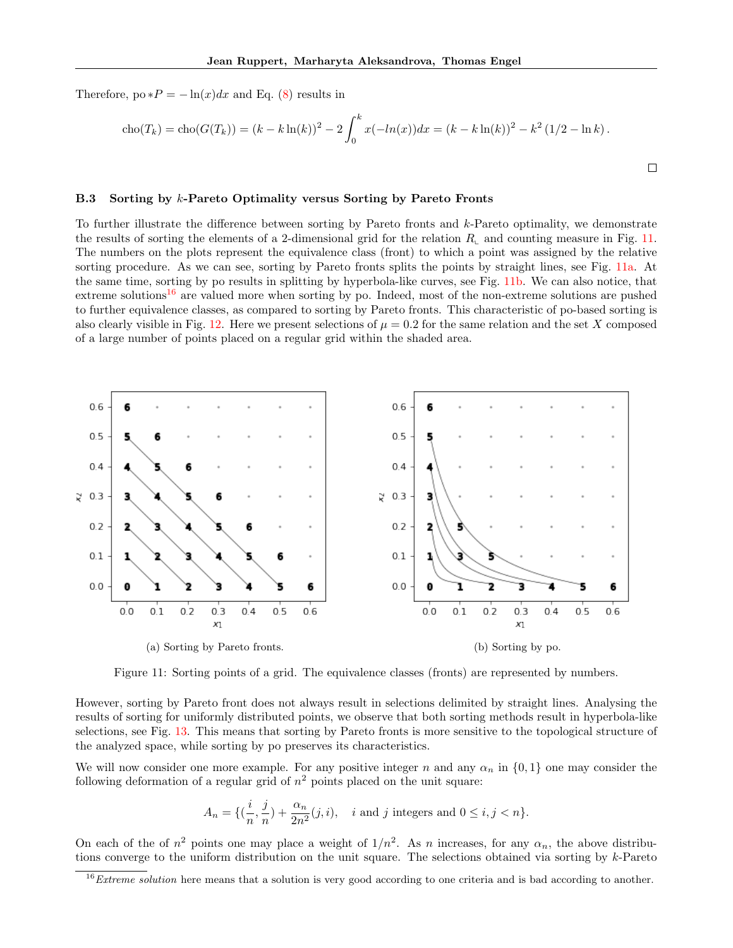Therefore,  $\text{po} * P = -\ln(x) dx$  and Eq. [\(8\)](#page-13-6) results in

$$
cho(T_k) = cho(G(T_k)) = (k - k \ln(k))^2 - 2 \int_0^k x(-\ln(x)) dx = (k - k \ln(k))^2 - k^2 (1/2 - \ln k).
$$

 $\Box$ 

### <span id="page-14-0"></span>B.3 Sorting by k-Pareto Optimality versus Sorting by Pareto Fronts

To further illustrate the difference between sorting by Pareto fronts and k-Pareto optimality, we demonstrate the results of sorting the elements of a 2-dimensional grid for the relation  $R<sub>L</sub>$  and counting measure in Fig. [11.](#page-14-1) The numbers on the plots represent the equivalence class (front) to which a point was assigned by the relative sorting procedure. As we can see, sorting by Pareto fronts splits the points by straight lines, see Fig. [11a.](#page-14-1) At the same time, sorting by po results in splitting by hyperbola-like curves, see Fig. [11b.](#page-14-1) We can also notice, that extreme solutions<sup>[16](#page-0-0)</sup> are valued more when sorting by po. Indeed, most of the non-extreme solutions are pushed to further equivalence classes, as compared to sorting by Pareto fronts. This characteristic of po-based sorting is also clearly visible in Fig. [12.](#page-15-0) Here we present selections of  $\mu = 0.2$  for the same relation and the set X composed of a large number of points placed on a regular grid within the shaded area.

<span id="page-14-1"></span>

Figure 11: Sorting points of a grid. The equivalence classes (fronts) are represented by numbers.

However, sorting by Pareto front does not always result in selections delimited by straight lines. Analysing the results of sorting for uniformly distributed points, we observe that both sorting methods result in hyperbola-like selections, see Fig. [13.](#page-15-1) This means that sorting by Pareto fronts is more sensitive to the topological structure of the analyzed space, while sorting by po preserves its characteristics.

We will now consider one more example. For any positive integer n and any  $\alpha_n$  in  $\{0,1\}$  one may consider the following deformation of a regular grid of  $n^2$  points placed on the unit square:

$$
A_n = \{(\frac{i}{n}, \frac{j}{n}) + \frac{\alpha_n}{2n^2}(j, i), \quad i \text{ and } j \text{ integers and } 0 \le i, j < n\}.
$$

On each of the of  $n^2$  points one may place a weight of  $1/n^2$ . As n increases, for any  $\alpha_n$ , the above distributions converge to the uniform distribution on the unit square. The selections obtained via sorting by k-Pareto

 $16$  *Extreme solution* here means that a solution is very good according to one criteria and is bad according to another.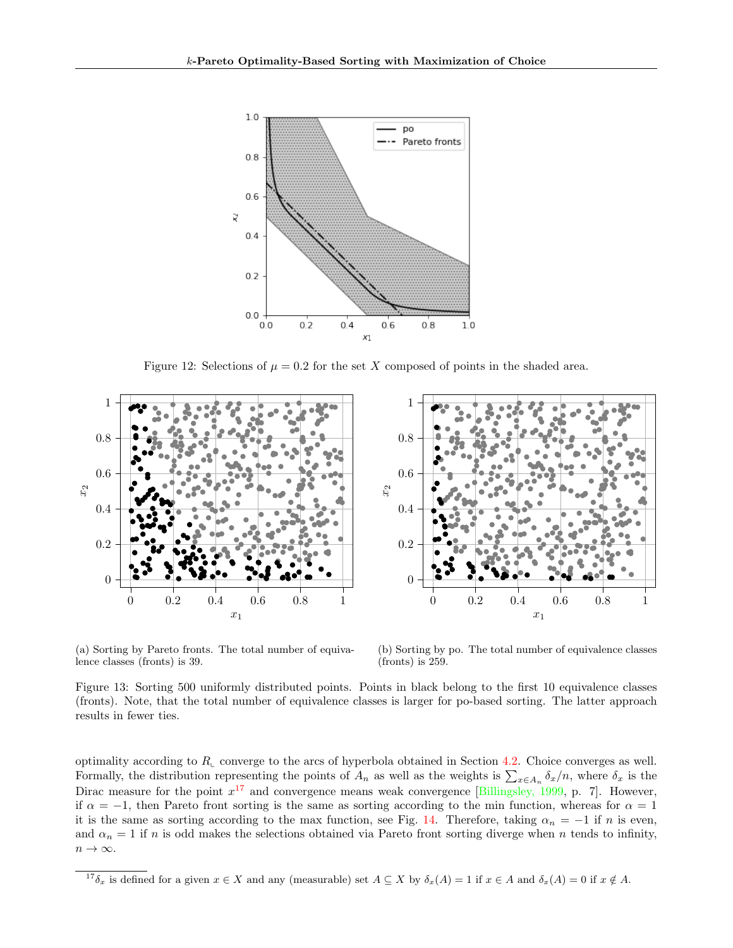<span id="page-15-0"></span>

Figure 12: Selections of  $\mu = 0.2$  for the set X composed of points in the shaded area.

<span id="page-15-1"></span>

(a) Sorting by Pareto fronts. The total number of equivalence classes (fronts) is 39.

(b) Sorting by po. The total number of equivalence classes (fronts) is 259.

Figure 13: Sorting 500 uniformly distributed points. Points in black belong to the first 10 equivalence classes (fronts). Note, that the total number of equivalence classes is larger for po-based sorting. The latter approach results in fewer ties.

optimality according to  $R_{\text{L}}$  converge to the arcs of hyperbola obtained in Section [4.2.](#page-5-3) Choice converges as well. Formally, the distribution representing the points of  $A_n$  as well as the weights is  $\sum_{x\in A_n} \delta_x/n$ , where  $\delta_x$  is the Dirac measure for the point  $x^{17}$  $x^{17}$  $x^{17}$  and convergence means weak convergence [\[Billingsley, 1999,](#page-9-16) p. 7]. However, if  $\alpha = -1$ , then Pareto front sorting is the same as sorting according to the min function, whereas for  $\alpha = 1$ it is the same as sorting according to the max function, see Fig. [14.](#page-16-2) Therefore, taking  $\alpha_n = -1$  if n is even, and  $\alpha_n = 1$  if n is odd makes the selections obtained via Pareto front sorting diverge when n tends to infinity,  $n \to \infty$ .

<sup>&</sup>lt;sup>17</sup> $\delta_x$  is defined for a given  $x \in X$  and any (measurable) set  $A \subseteq X$  by  $\delta_x(A) = 1$  if  $x \in A$  and  $\delta_x(A) = 0$  if  $x \notin A$ .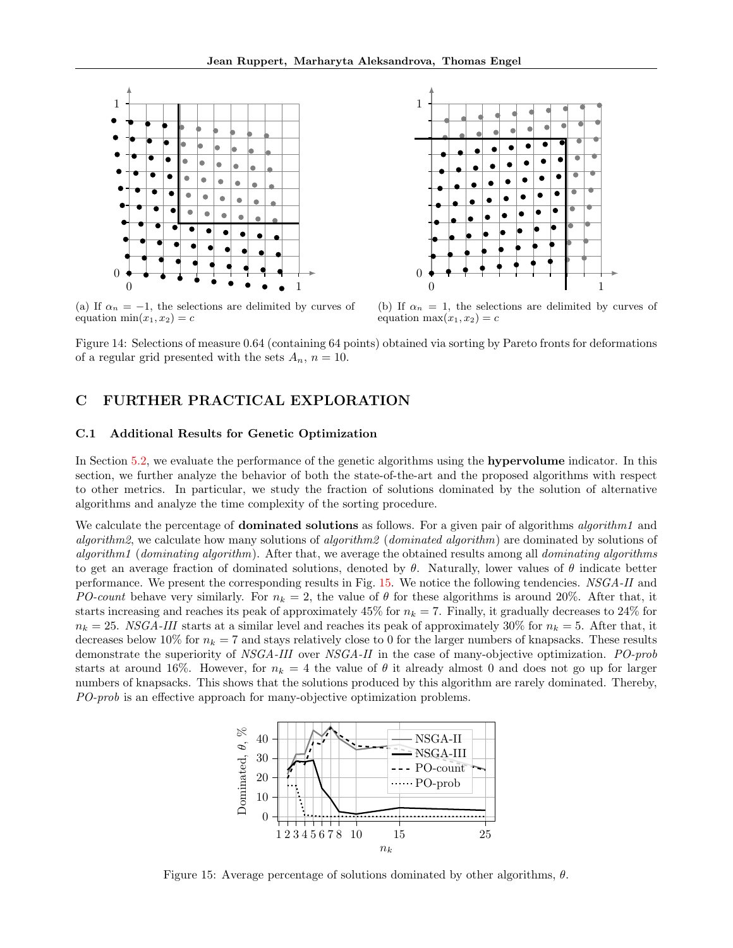<span id="page-16-2"></span>

(a) If  $\alpha_n = -1$ , the selections are delimited by curves of equation  $min(x_1, x_2) = c$ 

(b) If  $\alpha_n = 1$ , the selections are delimited by curves of equation max $(x_1, x_2) = c$ 

Figure 14: Selections of measure 0.64 (containing 64 points) obtained via sorting by Pareto fronts for deformations of a regular grid presented with the sets  $A_n$ ,  $n = 10$ .

# <span id="page-16-0"></span>C FURTHER PRACTICAL EXPLORATION

### <span id="page-16-1"></span>C.1 Additional Results for Genetic Optimization

In Section [5.2,](#page-7-3) we evaluate the performance of the genetic algorithms using the hypervolume indicator. In this section, we further analyze the behavior of both the state-of-the-art and the proposed algorithms with respect to other metrics. In particular, we study the fraction of solutions dominated by the solution of alternative algorithms and analyze the time complexity of the sorting procedure.

We calculate the percentage of **dominated solutions** as follows. For a given pair of algorithms algorithm1 and algorithm2, we calculate how many solutions of algorithm2 (dominated algorithm) are dominated by solutions of algorithm1 (dominating algorithm). After that, we average the obtained results among all dominating algorithms to get an average fraction of dominated solutions, denoted by  $\theta$ . Naturally, lower values of  $\theta$  indicate better performance. We present the corresponding results in Fig. [15.](#page-16-3) We notice the following tendencies. NSGA-II and PO-count behave very similarly. For  $n_k = 2$ , the value of  $\theta$  for these algorithms is around 20%. After that, it starts increasing and reaches its peak of approximately 45% for  $n_k = 7$ . Finally, it gradually decreases to 24% for  $n_k = 25$ . NSGA-III starts at a similar level and reaches its peak of approximately 30% for  $n_k = 5$ . After that, it decreases below 10% for  $n_k = 7$  and stays relatively close to 0 for the larger numbers of knapsacks. These results demonstrate the superiority of NSGA-III over NSGA-II in the case of many-objective optimization. PO-prob starts at around 16%. However, for  $n_k = 4$  the value of  $\theta$  it already almost 0 and does not go up for larger numbers of knapsacks. This shows that the solutions produced by this algorithm are rarely dominated. Thereby, PO-prob is an effective approach for many-objective optimization problems.

<span id="page-16-3"></span>

Figure 15: Average percentage of solutions dominated by other algorithms,  $\theta$ .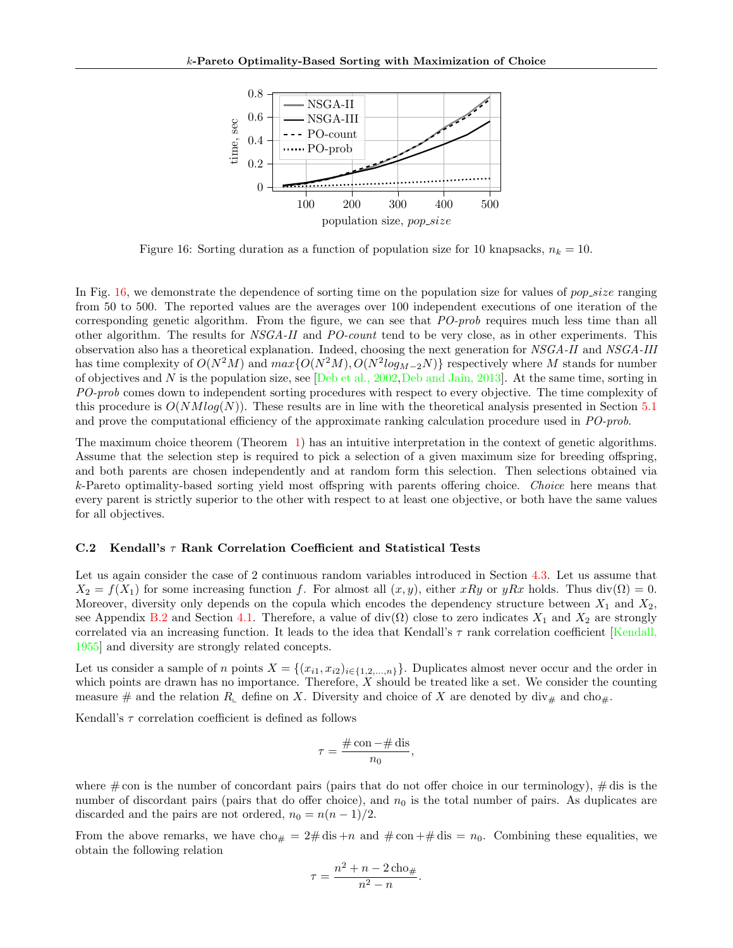<span id="page-17-1"></span>

Figure 16: Sorting duration as a function of population size for 10 knapsacks,  $n_k = 10$ .

In Fig. [16,](#page-17-1) we demonstrate the dependence of sorting time on the population size for values of *pop-size* ranging from 50 to 500. The reported values are the averages over 100 independent executions of one iteration of the corresponding genetic algorithm. From the figure, we can see that PO-prob requires much less time than all other algorithm. The results for NSGA-II and PO-count tend to be very close, as in other experiments. This observation also has a theoretical explanation. Indeed, choosing the next generation for NSGA-II and NSGA-III has time complexity of  $O(N^2M)$  and  $max\{O(N^2M), O(N^2log_{M-2}N)\}$  respectively where M stands for number of objectives and N is the population size, see [\[Deb et al., 2002,](#page-9-17) [Deb and Jain, 2013\]](#page-9-13). At the same time, sorting in PO-prob comes down to independent sorting procedures with respect to every objective. The time complexity of this procedure is  $O(NMlog(N))$ . These results are in line with the theoretical analysis presented in Section [5.1](#page-7-1) and prove the computational efficiency of the approximate ranking calculation procedure used in PO-prob.

The maximum choice theorem (Theorem [1\)](#page-3-3) has an intuitive interpretation in the context of genetic algorithms. Assume that the selection step is required to pick a selection of a given maximum size for breeding offspring, and both parents are chosen independently and at random form this selection. Then selections obtained via k-Pareto optimality-based sorting yield most offspring with parents offering choice. Choice here means that every parent is strictly superior to the other with respect to at least one objective, or both have the same values for all objectives.

### <span id="page-17-0"></span>C.2 Kendall's  $\tau$  Rank Correlation Coefficient and Statistical Tests

Let us again consider the case of 2 continuous random variables introduced in Section [4.3.](#page-6-0) Let us assume that  $X_2 = f(X_1)$  for some increasing function f. For almost all  $(x, y)$ , either xRy or yRx holds. Thus div( $\Omega$ ) = 0. Moreover, diversity only depends on the copula which encodes the dependency structure between  $X_1$  and  $X_2$ , see Appendix [B.2](#page-13-1) and Section [4.1.](#page-5-2) Therefore, a value of div( $\Omega$ ) close to zero indicates  $X_1$  and  $X_2$  are strongly correlated via an increasing function. It leads to the idea that Kendall's  $\tau$  rank correlation coefficient [\[Kendall,](#page-9-18) [1955\]](#page-9-18) and diversity are strongly related concepts.

Let us consider a sample of n points  $X = \{(x_{i1}, x_{i2})_{i \in \{1,2,\ldots,n\}}\}\.$  Duplicates almost never occur and the order in which points are drawn has no importance. Therefore,  $X$  should be treated like a set. We consider the counting measure # and the relation  $R_{\text{L}}$  define on X. Diversity and choice of X are denoted by div# and cho#.

Kendall's  $\tau$  correlation coefficient is defined as follows

$$
\tau = \frac{\text{\# con} - \text{\# dis}}{n_0},
$$

where  $\#$  con is the number of concordant pairs (pairs that do not offer choice in our terminology),  $\#$  dis is the number of discordant pairs (pairs that do offer choice), and  $n_0$  is the total number of pairs. As duplicates are discarded and the pairs are not ordered,  $n_0 = n(n-1)/2$ .

From the above remarks, we have cho<sub>#</sub> =  $2\#$  dis +n and  $\#$  con +# dis =  $n_0$ . Combining these equalities, we obtain the following relation

$$
\tau = \frac{n^2 + n - 2\,\text{cho}_{\#}}{n^2 - n}.
$$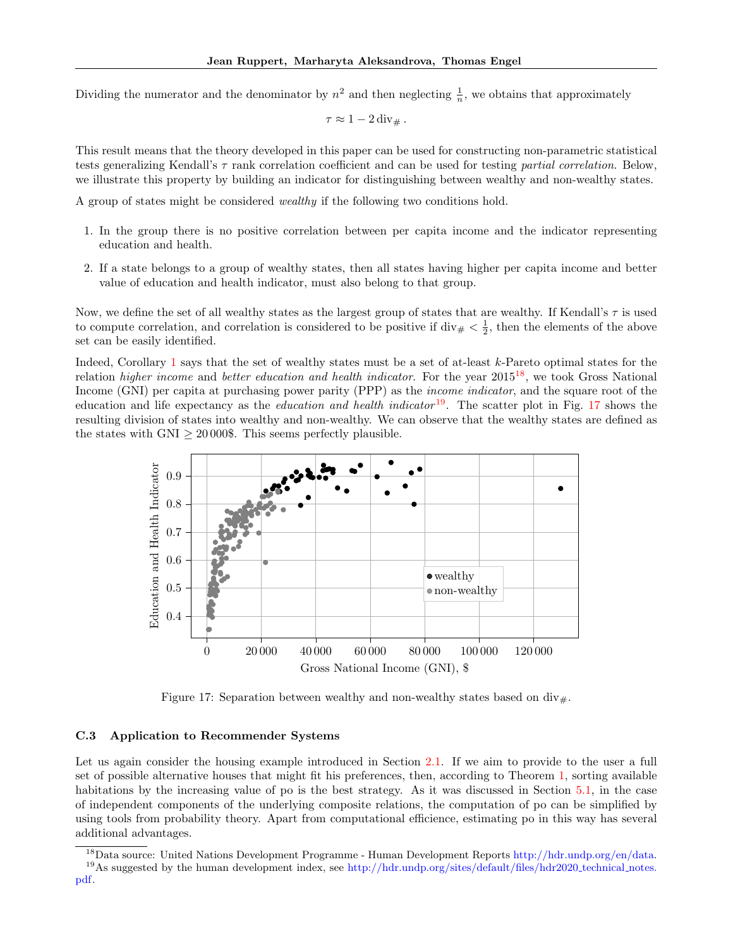Dividing the numerator and the denominator by  $n^2$  and then neglecting  $\frac{1}{n}$ , we obtains that approximately

$$
\tau \approx 1-2\,\mathrm{div}_{\#}.
$$

This result means that the theory developed in this paper can be used for constructing non-parametric statistical tests generalizing Kendall's  $\tau$  rank correlation coefficient and can be used for testing partial correlation. Below, we illustrate this property by building an indicator for distinguishing between wealthy and non-wealthy states.

A group of states might be considered wealthy if the following two conditions hold.

- 1. In the group there is no positive correlation between per capita income and the indicator representing education and health.
- 2. If a state belongs to a group of wealthy states, then all states having higher per capita income and better value of education and health indicator, must also belong to that group.

Now, we define the set of all wealthy states as the largest group of states that are wealthy. If Kendall's  $\tau$  is used to compute correlation, and correlation is considered to be positive if  $\text{div}_{\#} < \frac{1}{2}$ , then the elements of the above set can be easily identified.

Indeed, Corollary [1](#page-5-5) says that the set of wealthy states must be a set of at-least k-Pareto optimal states for the relation *higher income* and *better education and health indicator*. For the year  $2015^{18}$  $2015^{18}$  $2015^{18}$ , we took Gross National Income (GNI) per capita at purchasing power parity (PPP) as the income indicator, and the square root of the education and life expectancy as the *education and health indicator* <sup>[19](#page-0-0)</sup>. The scatter plot in Fig. [17](#page-18-1) shows the resulting division of states into wealthy and non-wealthy. We can observe that the wealthy states are defined as the states with GNI  $\geq 20000\$ . This seems perfectly plausible.

<span id="page-18-1"></span>

Figure 17: Separation between wealthy and non-wealthy states based on  $div_{\#}$ .

### <span id="page-18-0"></span>C.3 Application to Recommender Systems

Let us again consider the housing example introduced in Section [2.1.](#page-1-1) If we aim to provide to the user a full set of possible alternative houses that might fit his preferences, then, according to Theorem [1,](#page-3-3) sorting available habitations by the increasing value of po is the best strategy. As it was discussed in Section [5.1,](#page-7-1) in the case of independent components of the underlying composite relations, the computation of po can be simplified by using tools from probability theory. Apart from computational efficience, estimating po in this way has several additional advantages.

<sup>18</sup>Data source: United Nations Development Programme - Human Development Reports [http://hdr.undp.org/en/data.](http://hdr.undp.org/en/data) <sup>19</sup>As suggested by the human development index, see [http://hdr.undp.org/sites/default/files/hdr2020](http://hdr.undp.org/sites/default/files/hdr2020_technical_notes.pdf)\_technical\_notes.

[pdf.](http://hdr.undp.org/sites/default/files/hdr2020_technical_notes.pdf)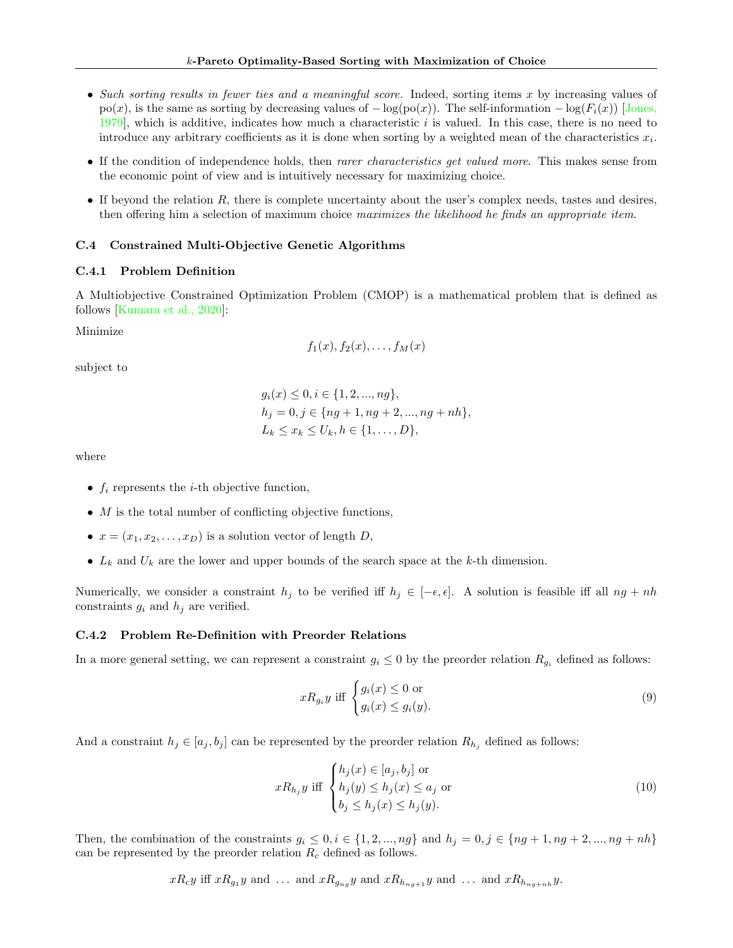- Such sorting results in fewer ties and a meaningful score. Indeed, sorting items x by increasing values of  $p(x)$ , is the same as sorting by decreasing values of  $-\log(p_0(x))$ . The self-information  $-\log(F_i(x))$  [\[Jones,](#page-9-19) [1979\]](#page-9-19), which is additive, indicates how much a characteristic i is valued. In this case, there is no need to introduce any arbitrary coefficients as it is done when sorting by a weighted mean of the characteristics  $x_i$ .
- If the condition of independence holds, then rarer characteristics get valued more. This makes sense from the economic point of view and is intuitively necessary for maximizing choice.
- $\bullet$  If beyond the relation  $R$ , there is complete uncertainty about the user's complex needs, tastes and desires, then offering him a selection of maximum choice maximizes the likelihood he finds an appropriate item.

### <span id="page-19-0"></span>C.4 Constrained Multi-Objective Genetic Algorithms

### C.4.1 Problem Definition

A Multiobjective Constrained Optimization Problem (CMOP) is a mathematical problem that is defined as follows [\[Kumara et al., 2020\]](#page-9-20):

Minimize

$$
f_1(x), f_2(x), \ldots, f_M(x)
$$

subject to

$$
g_i(x) \le 0, i \in \{1, 2, ..., ng\},
$$
  
\n
$$
h_j = 0, j \in \{ng + 1, ng + 2, ..., ng + nh\},
$$
  
\n
$$
L_k \le x_k \le U_k, h \in \{1, ..., D\},
$$

where

- $f_i$  represents the *i*-th objective function,
- $\bullet$  *M* is the total number of conflicting objective functions,
- $x = (x_1, x_2, \ldots, x_D)$  is a solution vector of length D,
- $L_k$  and  $U_k$  are the lower and upper bounds of the search space at the k-th dimension.

Numerically, we consider a constraint  $h_j$  to be verified iff  $h_j \in [-\epsilon, \epsilon]$ . A solution is feasible iff all  $ng + nh$ constraints  $g_i$  and  $h_j$  are verified.

### C.4.2 Problem Re-Definition with Preorder Relations

In a more general setting, we can represent a constraint  $g_i \leq 0$  by the preorder relation  $R_{g_i}$  defined as follows:

$$
xR_{g_i}y \text{ iff } \begin{cases} g_i(x) \le 0 \text{ or} \\ g_i(x) \le g_i(y). \end{cases} \tag{9}
$$

And a constraint  $h_j \in [a_j, b_j]$  can be represented by the preorder relation  $R_{h_j}$  defined as follows:

$$
xR_{h_j}y \text{ iff } \begin{cases} h_j(x) \in [a_j, b_j] \text{ or} \\ h_j(y) \le h_j(x) \le a_j \text{ or} \\ b_j \le h_j(x) \le h_j(y). \end{cases}
$$
(10)

Then, the combination of the constraints  $g_i \leq 0, i \in \{1, 2, ..., ng\}$  and  $h_j = 0, j \in \{ng + 1, ng + 2, ..., ng + nh\}$ can be represented by the preorder relation  $R_c$  defined as follows.

$$
xR_c y
$$
 iff  $xR_{g_1}y$  and ... and  $xR_{g_{ng}}y$  and  $xR_{h_{ng+1}}y$  and ... and  $xR_{h_{ng+nh}}y$ .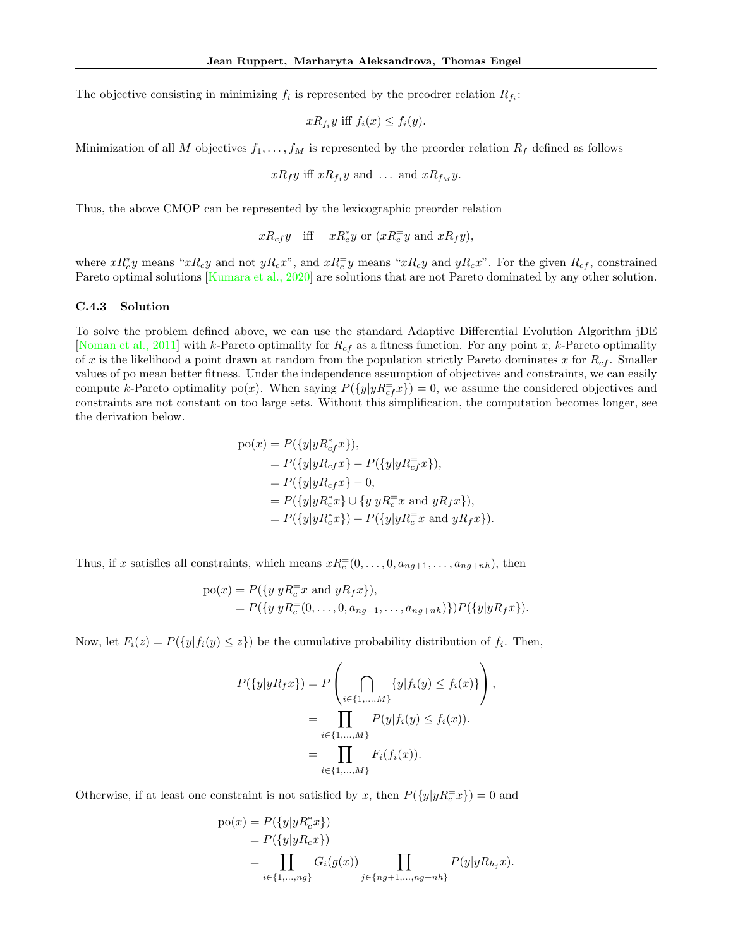The objective consisting in minimizing  $f_i$  is represented by the preodrer relation  $R_{f_i}$ :

$$
xR_{f_i}y \text{ iff } f_i(x) \le f_i(y).
$$

Minimization of all M objectives  $f_1, \ldots, f_M$  is represented by the preorder relation  $R_f$  defined as follows

$$
xR_fy
$$
 iff  $xR_{f_1}y$  and ... and  $xR_{f_M}y$ .

Thus, the above CMOP can be represented by the lexicographic preorder relation

 $xR_{cf}y$  iff  $xR_c^*y$  or  $(xR_c^=y$  and  $xR_fy)$ ,

where  $xR_c^*y$  means " $xR_cy$  and not  $yR_cx$ ", and  $xR_c^=y$  means " $xR_cy$  and  $yR_cx$ ". For the given  $R_{cf}$ , constrained Pareto optimal solutions [\[Kumara et al., 2020\]](#page-9-20) are solutions that are not Pareto dominated by any other solution.

### C.4.3 Solution

To solve the problem defined above, we can use the standard Adaptive Differential Evolution Algorithm jDE [\[Noman et al., 2011\]](#page-9-21) with k-Pareto optimality for  $R_{cf}$  as a fitness function. For any point x, k-Pareto optimality of x is the likelihood a point drawn at random from the population strictly Pareto dominates x for  $R_{cf}$ . Smaller values of po mean better fitness. Under the independence assumption of objectives and constraints, we can easily compute k-Pareto optimality po(x). When saying  $P({y|yR_{cf}^{\equiv}x}) = 0$ , we assume the considered objectives and constraints are not constant on too large sets. Without this simplification, the computation becomes longer, see the derivation below.

$$
po(x) = P({y|yR_{cf}^*x}),
$$
  
=  $P({y|yR_{cf}x} - P({y|yR_{cf}x}),$   
=  $P({y|yR_{cf}x} - 0,$   
=  $P({y|yR_{cf}^*x} \cup {y|yR_{c}^=x}$  and  $yR_{f}x}),$   
=  $P({y|yR_{c}^*x}) + P({y|yR_{c}^=x}$  and  $yR_{f}x}).$ 

Thus, if x satisfies all constraints, which means  $xR_c^=(0,\ldots,0,a_{ng+1},\ldots,a_{ng+nh})$ , then

$$
po(x) = P({y|yR_c^=x \text{ and } yR_fx}),
$$
  
=  $P({y|yR_c^=(0,\ldots,0,a_{ng+1},\ldots,a_{ng+nh})})P({y|yR_fx}).$ 

Now, let  $F_i(z) = P({y | f_i(y) \leq z})$  be the cumulative probability distribution of  $f_i$ . Then,

$$
P({y|yR_fx}) = P\left(\bigcap_{i \in \{1,...,M\}} {y|f_i(y) \le f_i(x)}\right),
$$
  
= 
$$
\prod_{i \in \{1,...,M\}} P(y|f_i(y) \le f_i(x)).
$$
  
= 
$$
\prod_{i \in \{1,...,M\}} F_i(f_i(x)).
$$

Otherwise, if at least one constraint is not satisfied by x, then  $P({y|yR_c^=x}) = 0$  and

$$
po(x) = P({y|yR_c^*x})
$$
  
=  $P({y|yR_cx})$   
=  $\prod_{i \in \{1,...,ng\}} G_i(g(x)) \prod_{j \in \{ng+1,...,ng+nh\}} P(y|yR_{h_j}x).$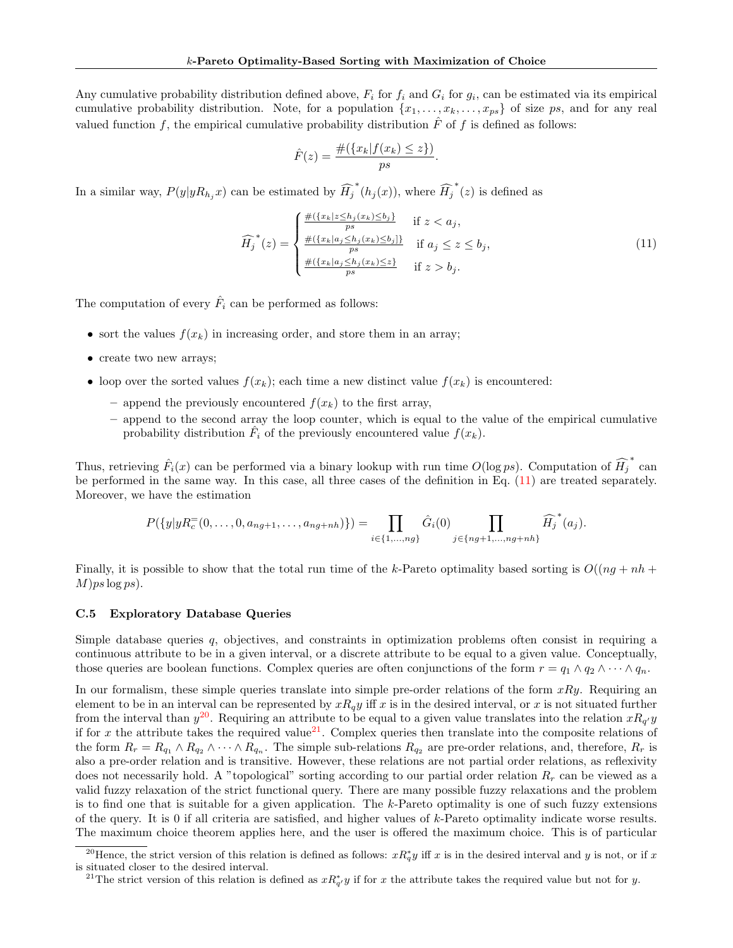Any cumulative probability distribution defined above,  $F_i$  for  $f_i$  and  $G_i$  for  $g_i$ , can be estimated via its empirical cumulative probability distribution. Note, for a population  $\{x_1, \ldots, x_k, \ldots, x_{ps}\}$  of size ps, and for any real valued function f, the empirical cumulative probability distribution  $\hat{F}$  of f is defined as follows:

$$
\hat{F}(z) = \frac{\#(\{x_k | f(x_k) \le z\})}{ps}
$$

In a similar way,  $P(y|yR_{h_j}x)$  can be estimated by  $\widehat{H}_j^*(h_j(x))$ , where  $\widehat{H}_j^*(z)$  is defined as

<span id="page-21-1"></span>
$$
\widehat{H}_{j}^{*}(z) = \begin{cases}\n\frac{\#(\{x_{k}|z \leq h_{j}(x_{k}) \leq b_{j}\}}{ps} & \text{if } z < a_{j}, \\
\frac{\#(\{x_{k}|a_{j} \leq h_{j}(x_{k}) \leq b_{j}\}}{ps} & \text{if } a_{j} \leq z \leq b_{j}, \\
\frac{\#(\{x_{k}|a_{j} \leq h_{j}(x_{k}) \leq z\}}{ps} & \text{if } z > b_{j}.\n\end{cases}
$$
\n(11)

.

The computation of every  $\hat{F}_i$  can be performed as follows:

- sort the values  $f(x_k)$  in increasing order, and store them in an array;
- create two new arrays;
- loop over the sorted values  $f(x_k)$ ; each time a new distinct value  $f(x_k)$  is encountered:
	- append the previously encountered  $f(x_k)$  to the first array,
	- append to the second array the loop counter, which is equal to the value of the empirical cumulative probability distribution  $\hat{F}_i$  of the previously encountered value  $f(x_k)$ .

Thus, retrieving  $\hat{F}_i(x)$  can be performed via a binary lookup with run time  $O(\log ps)$ . Computation of  $\widehat{H}_j^*$  can be performed in the same way. In this case, all three cases of the definition in Eq. [\(11\)](#page-21-1) are treated separately. Moreover, we have the estimation

$$
P(\{y|yR_c^=(0,\ldots,0,a_{ng+1},\ldots,a_{ng+nh})\}) = \prod_{i\in\{1,\ldots,ng\}} \hat{G}_i(0) \prod_{j\in\{ng+1,\ldots,ng+nh\}} \widehat{H}_j^*(a_j).
$$

Finally, it is possible to show that the total run time of the k-Pareto optimality based sorting is  $O((nq + nh +$  $M$ )ps  $\log ps$ ).

## <span id="page-21-0"></span>C.5 Exploratory Database Queries

Simple database queries  $q$ , objectives, and constraints in optimization problems often consist in requiring a continuous attribute to be in a given interval, or a discrete attribute to be equal to a given value. Conceptually, those queries are boolean functions. Complex queries are often conjunctions of the form  $r = q_1 \wedge q_2 \wedge \cdots \wedge q_n$ .

In our formalism, these simple queries translate into simple pre-order relations of the form  $xRy$ . Requiring an element to be in an interval can be represented by  $xR_qy$  iff x is in the desired interval, or x is not situated further from the interval than  $y^{20}$  $y^{20}$  $y^{20}$ . Requiring an attribute to be equal to a given value translates into the relation  $xR_{q'}y$ if for x the attribute takes the required value<sup>[21](#page-0-0)</sup>. Complex queries then translate into the composite relations of the form  $R_r = R_{q_1} \wedge R_{q_2} \wedge \cdots \wedge R_{q_n}$ . The simple sub-relations  $R_{q_2}$  are pre-order relations, and, therefore,  $R_r$  is also a pre-order relation and is transitive. However, these relations are not partial order relations, as reflexivity does not necessarily hold. A "topological" sorting according to our partial order relation  $R_r$  can be viewed as a valid fuzzy relaxation of the strict functional query. There are many possible fuzzy relaxations and the problem is to find one that is suitable for a given application. The  $k$ -Pareto optimality is one of such fuzzy extensions of the query. It is 0 if all criteria are satisfied, and higher values of k-Pareto optimality indicate worse results. The maximum choice theorem applies here, and the user is offered the maximum choice. This is of particular

<sup>&</sup>lt;sup>20</sup>Hence, the strict version of this relation is defined as follows:  $xR_q^*y$  iff x is in the desired interval and y is not, or if x is situated closer to the desired interval.

<sup>&</sup>lt;sup>21</sup>The strict version of this relation is defined as  $xR_{q'}^*y$  if for x the attribute takes the required value but not for y.